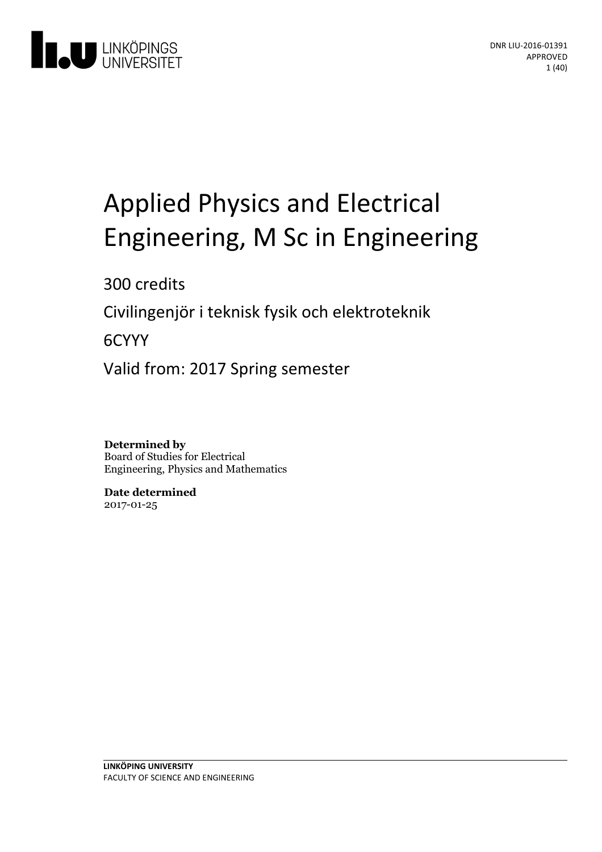

# Applied Physics and Electrical Engineering, M Sc in Engineering

300 credits

Civilingenjör i teknisk fysik och elektroteknik

6CYYY

Valid from: 2017 Spring semester

**Determined by** Board of Studies for Electrical Engineering, Physics and Mathematics

**Date determined** 2017-01-25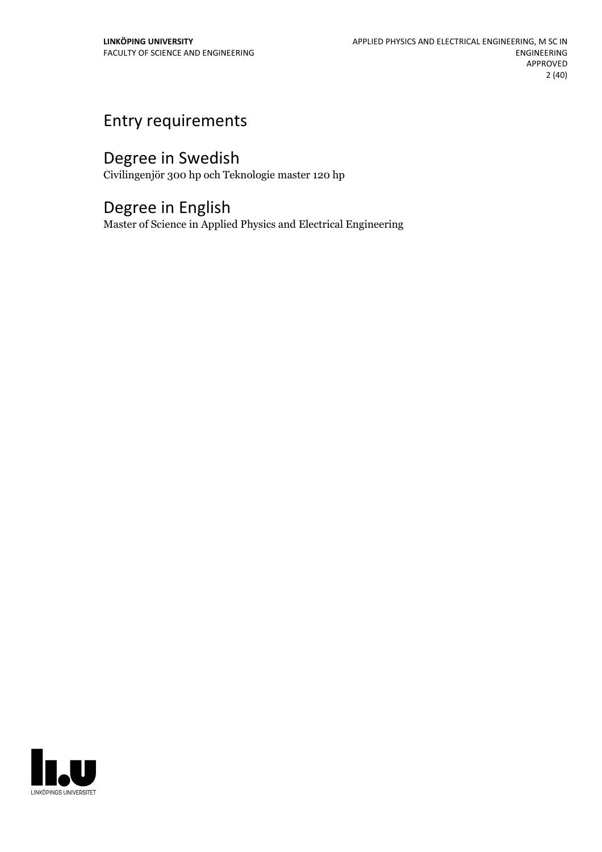# Entry requirements

# Degree in Swedish

Civilingenjör 300 hp och Teknologie master 120 hp

# Degree in English

Master of Science in Applied Physics and Electrical Engineering

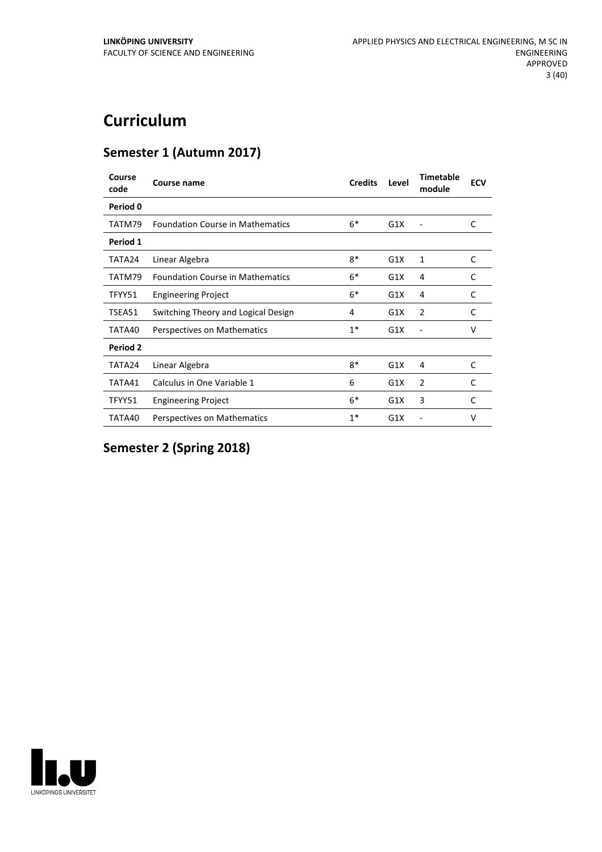# **Curriculum**

# **Semester 1 (Autumn 2017)**

| Course<br>code  | <b>Course name</b>                      | <b>Credits</b> | Level | <b>Timetable</b><br>module | <b>ECV</b> |
|-----------------|-----------------------------------------|----------------|-------|----------------------------|------------|
| Period 0        |                                         |                |       |                            |            |
| TATM79          | <b>Foundation Course in Mathematics</b> | $6*$           | G1X   |                            | C          |
| Period 1        |                                         |                |       |                            |            |
| TATA24          | Linear Algebra                          | $8*$           | G1X   | 1                          | C          |
| TATM79          | <b>Foundation Course in Mathematics</b> | $6*$           | G1X   | 4                          | C          |
| TFYY51          | <b>Engineering Project</b>              | $6*$           | G1X   | 4                          | C          |
| TSEA51          | Switching Theory and Logical Design     | 4              | G1X   | $\overline{2}$             | C          |
| TATA40          | Perspectives on Mathematics             | $1^*$          | G1X   | ۰                          | $\vee$     |
| <b>Period 2</b> |                                         |                |       |                            |            |
| TATA24          | Linear Algebra                          | $8*$           | G1X   | 4                          | C          |
| TATA41          | Calculus in One Variable 1              | 6              | G1X   | $\overline{2}$             | C          |
| TFYY51          | <b>Engineering Project</b>              | $6*$           | G1X   | 3                          | C          |
| TATA40          | Perspectives on Mathematics             | $1*$           | G1X   |                            | v          |

**Semester 2 (Spring 2018)**

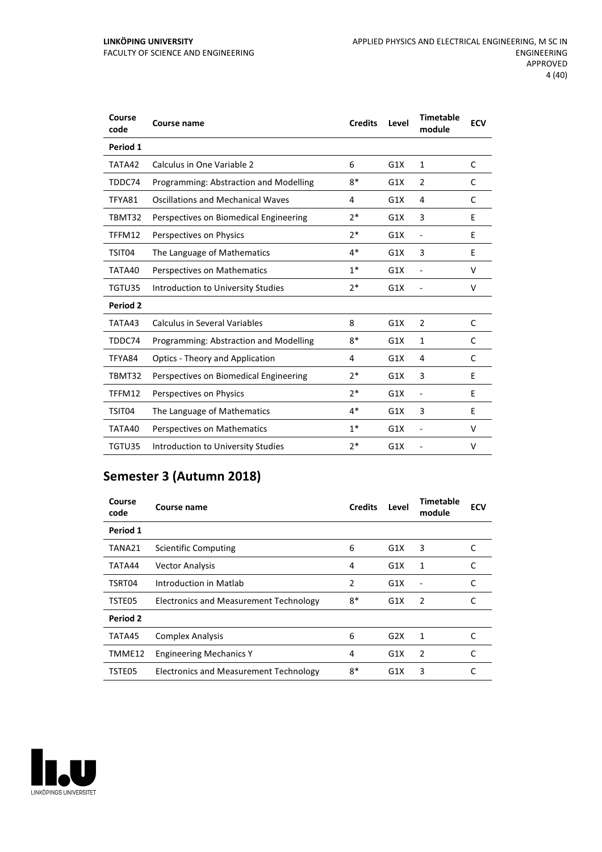| Course<br>code | Course name                              | <b>Credits</b> | Level | <b>Timetable</b><br>module | <b>ECV</b> |
|----------------|------------------------------------------|----------------|-------|----------------------------|------------|
| Period 1       |                                          |                |       |                            |            |
| TATA42         | Calculus in One Variable 2               | 6              | G1X   | $\mathbf{1}$               | C          |
| TDDC74         | Programming: Abstraction and Modelling   | $8*$           | G1X   | $\overline{2}$             | C          |
| TFYA81         | <b>Oscillations and Mechanical Waves</b> | 4              | G1X   | 4                          | C          |
| TBMT32         | Perspectives on Biomedical Engineering   | $2*$           | G1X   | 3                          | E          |
| TFFM12         | Perspectives on Physics                  | $7*$           | G1X   | $\overline{\phantom{a}}$   | E          |
| TSIT04         | The Language of Mathematics              | $4*$           | G1X   | 3                          | E          |
| TATA40         | Perspectives on Mathematics              | $1*$           | G1X   | $\overline{a}$             | v          |
| TGTU35         | Introduction to University Studies       | 2*             | G1X   |                            | $\vee$     |
| Period 2       |                                          |                |       |                            |            |
| TATA43         | Calculus in Several Variables            | 8              | G1X   | $\overline{2}$             | C          |
| TDDC74         | Programming: Abstraction and Modelling   | $8*$           | G1X   | 1                          | C          |
| TFYA84         | Optics - Theory and Application          | 4              | G1X   | 4                          | C          |
| TBMT32         | Perspectives on Biomedical Engineering   | $7*$           | G1X   | 3                          | F          |
| TFFM12         | Perspectives on Physics                  | $2*$           | G1X   | $\overline{a}$             | E          |
| TSIT04         | The Language of Mathematics              | $4*$           | G1X   | 3                          | E          |
| TATA40         | Perspectives on Mathematics              | $1*$           | G1X   | $\overline{a}$             | V          |
| TGTU35         | Introduction to University Studies       | $2*$           | G1X   |                            | V          |

# **Semester 3 (Autumn 2018)**

| Course<br>code | Course name                            | <b>Credits</b> | Level | <b>Timetable</b><br>module | <b>ECV</b> |
|----------------|----------------------------------------|----------------|-------|----------------------------|------------|
| Period 1       |                                        |                |       |                            |            |
| TANA21         | Scientific Computing                   | 6              | G1X   | 3                          |            |
| TATA44         | <b>Vector Analysis</b>                 | 4              | G1X   | 1                          | C          |
| TSRT04         | Introduction in Matlab                 | 2              | G1X   |                            | C          |
| TSTE05         | Electronics and Measurement Technology | 8*             | G1X   | 2                          | C          |
| Period 2       |                                        |                |       |                            |            |
| TATA45         | <b>Complex Analysis</b>                | 6              | G2X   | 1                          | C          |
| TMME12         | <b>Engineering Mechanics Y</b>         | 4              | G1X   | 2                          | C          |
| TSTE05         | Electronics and Measurement Technology | 8*             | G1X   | 3                          | C          |

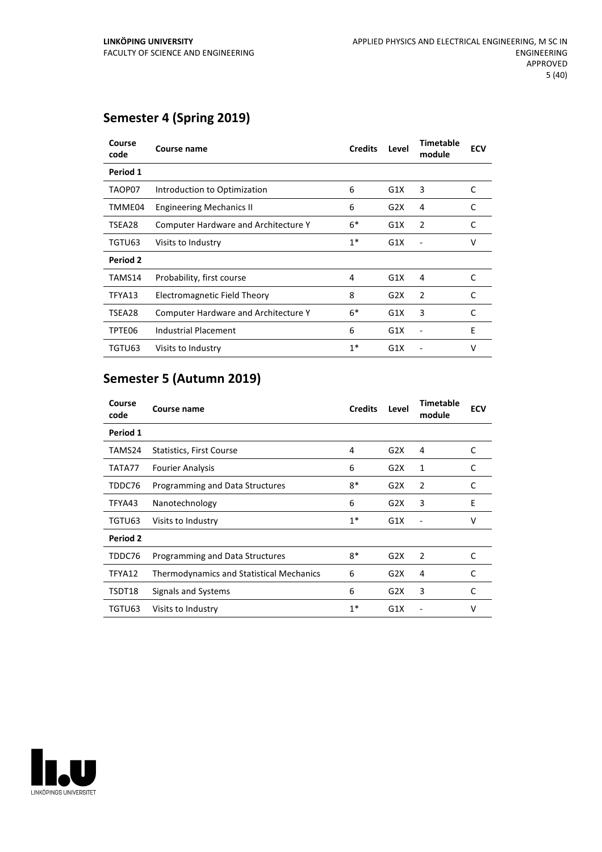# **Semester 4 (Spring 2019)**

| Course<br>code  | Course name                                 | <b>Credits</b> | Level | <b>Timetable</b><br>module | <b>ECV</b> |
|-----------------|---------------------------------------------|----------------|-------|----------------------------|------------|
| Period 1        |                                             |                |       |                            |            |
| TAOP07          | Introduction to Optimization                | 6              | G1X   | 3                          | C          |
| TMME04          | <b>Engineering Mechanics II</b>             | 6              | G2X   | 4                          | C          |
| TSEA28          | <b>Computer Hardware and Architecture Y</b> | $6*$           | G1X   | 2                          | C          |
| TGTU63          | Visits to Industry                          | $1*$           | G1X   |                            | v          |
| <b>Period 2</b> |                                             |                |       |                            |            |
| TAMS14          | Probability, first course                   | 4              | G1X   | 4                          | C          |
| TFYA13          | Electromagnetic Field Theory                | 8              | G2X   | 2                          | C          |
| TSEA28          | <b>Computer Hardware and Architecture Y</b> | $6*$           | G1X   | 3                          | C          |
| TPTE06          | Industrial Placement                        | 6              | G1X   |                            | E          |
| TGTU63          | Visits to Industry                          | $1*$           | G1X   |                            | v          |

# **Semester 5 (Autumn 2019)**

| Course<br>code | Course name                                     | <b>Credits</b> | Level | <b>Timetable</b><br>module | <b>ECV</b> |
|----------------|-------------------------------------------------|----------------|-------|----------------------------|------------|
| Period 1       |                                                 |                |       |                            |            |
| TAMS24         | Statistics, First Course                        | 4              | G2X   | 4                          | C          |
| TATA77         | <b>Fourier Analysis</b>                         | 6              | G2X   | 1                          | C          |
| TDDC76         | Programming and Data Structures                 | $8*$           | G2X   | 2                          | C          |
| TFYA43         | Nanotechnology                                  | 6              | G2X   | 3                          | Ε          |
| TGTU63         | Visits to Industry                              | $1^*$          | G1X   |                            | v          |
| Period 2       |                                                 |                |       |                            |            |
| TDDC76         | Programming and Data Structures                 | $8*$           | G2X   | 2                          | C          |
| TFYA12         | <b>Thermodynamics and Statistical Mechanics</b> | 6              | G2X   | 4                          | C          |
| TSDT18         | Signals and Systems                             | 6              | G2X   | 3                          | C          |
| TGTU63         | Visits to Industry                              | $1^*$          | G1X   |                            | ٧          |

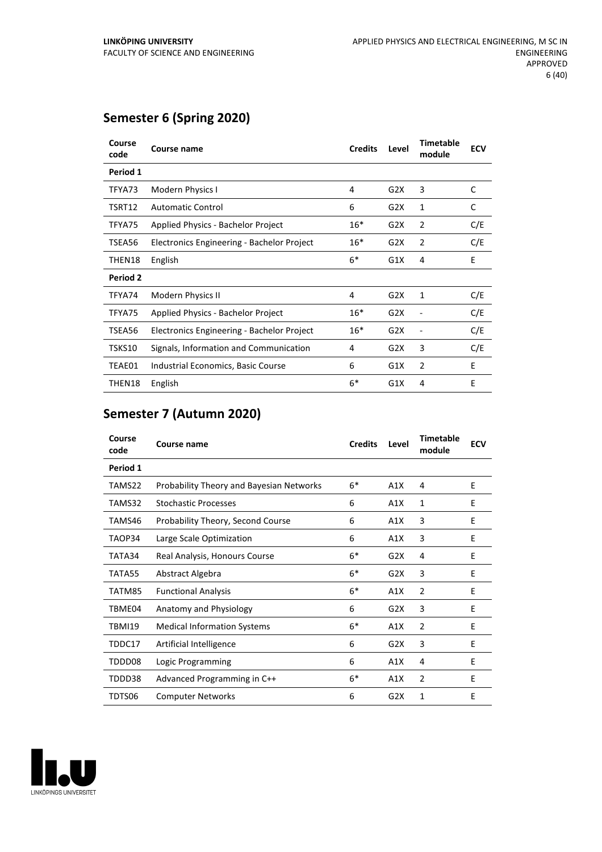# **Semester 6 (Spring 2020)**

| Course<br>code  | Course name                                | <b>Credits</b> | Level            | <b>Timetable</b><br>module | <b>ECV</b> |
|-----------------|--------------------------------------------|----------------|------------------|----------------------------|------------|
| Period 1        |                                            |                |                  |                            |            |
| TFYA73          | Modern Physics I                           | 4              | G2X              | 3                          | C          |
| TSRT12          | <b>Automatic Control</b>                   | 6              | G2X              | 1                          | C          |
| TFYA75          | Applied Physics - Bachelor Project         | $16*$          | G2X              | 2                          | C/E        |
| TSEA56          | Electronics Engineering - Bachelor Project | $16*$          | G2X              | 2                          | C/E        |
| THEN18          | English                                    | $6*$           | G1X              | 4                          | E          |
| <b>Period 2</b> |                                            |                |                  |                            |            |
| TFYA74          | Modern Physics II                          | 4              | G2X              | 1                          | C/E        |
| TFYA75          | Applied Physics - Bachelor Project         | $16*$          | G2X              | ٠                          | C/E        |
| TSEA56          | Electronics Engineering - Bachelor Project | $16*$          | G2X              | -                          | C/E        |
| TSKS10          | Signals, Information and Communication     | 4              | G <sub>2</sub> X | 3                          | C/E        |
| TEAE01          | Industrial Economics, Basic Course         | 6              | G1X              | 2                          | E          |
| THEN18          | English                                    | $6*$           | G1X              | 4                          | E          |

# **Semester 7 (Autumn 2020)**

| Course<br>code | <b>Course name</b>                              | <b>Credits</b> | Level            | <b>Timetable</b><br>module | <b>ECV</b> |
|----------------|-------------------------------------------------|----------------|------------------|----------------------------|------------|
| Period 1       |                                                 |                |                  |                            |            |
| TAMS22         | <b>Probability Theory and Bayesian Networks</b> | $6*$           | A1X              | 4                          | E          |
| TAMS32         | <b>Stochastic Processes</b>                     | 6              | A1X              | 1                          | Ε          |
| TAMS46         | Probability Theory, Second Course               | 6              | A1X              | 3                          | E          |
| TAOP34         | Large Scale Optimization                        | 6              | A1X              | 3                          | E          |
| TATA34         | Real Analysis, Honours Course                   | $6*$           | G2X              | 4                          | E          |
| TATA55         | Abstract Algebra                                | $6*$           | G2X              | 3                          | E          |
| TATM85         | <b>Functional Analysis</b>                      | $6*$           | A1X              | 2                          | E          |
| TBME04         | Anatomy and Physiology                          | 6              | G2X              | 3                          | E          |
| <b>TBMI19</b>  | <b>Medical Information Systems</b>              | $6*$           | A1X              | 2                          | E          |
| TDDC17         | Artificial Intelligence                         | 6              | G2X              | 3                          | E          |
| TDDD08         | Logic Programming                               | 6              | A1X              | 4                          | Ε          |
| TDDD38         | Advanced Programming in C++                     | $6*$           | A1X              | $\overline{2}$             | E          |
| TDTS06         | <b>Computer Networks</b>                        | 6              | G <sub>2</sub> X | 1                          | E          |

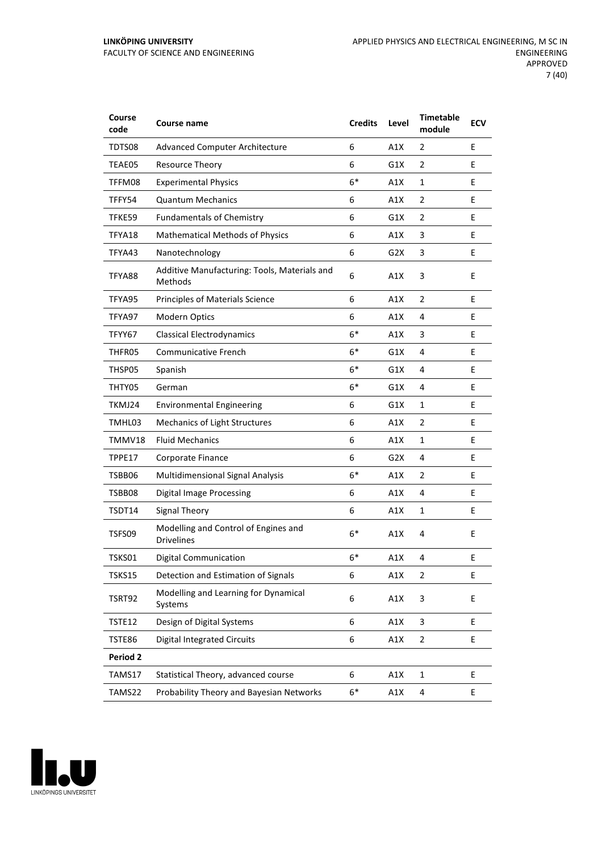#### **LINKÖPING UNIVERSITY** FACULTY OF SCIENCE AND ENGINEERING

| Course<br>code  | Course name                                               | <b>Credits</b> | Level            | <b>Timetable</b><br>module | <b>ECV</b> |
|-----------------|-----------------------------------------------------------|----------------|------------------|----------------------------|------------|
| TDTS08          | <b>Advanced Computer Architecture</b>                     | 6              | A1X              | 2                          | E          |
| TEAE05          | Resource Theory                                           | 6              | G1X              | 2                          | E          |
| TFFM08          | <b>Experimental Physics</b>                               | $6*$           | A1X              | $\mathbf{1}$               | E          |
| TFFY54          | <b>Quantum Mechanics</b>                                  | 6              | A1X              | 2                          | E          |
| TFKE59          | <b>Fundamentals of Chemistry</b>                          | 6              | G1X              | $\overline{2}$             | E          |
| TFYA18          | <b>Mathematical Methods of Physics</b>                    | 6              | A1X              | 3                          | E          |
| TFYA43          | Nanotechnology                                            | 6              | G <sub>2</sub> X | 3                          | E          |
| TFYA88          | Additive Manufacturing: Tools, Materials and<br>Methods   | 6              | A1X              | 3                          | E          |
| TFYA95          | Principles of Materials Science                           | 6              | A1X              | $\overline{2}$             | E          |
| TFYA97          | Modern Optics                                             | 6              | A1X              | 4                          | E          |
| TFYY67          | <b>Classical Electrodynamics</b>                          | $6*$           | A1X              | 3                          | E          |
| THFR05          | Communicative French                                      | $6*$           | G1X              | 4                          | E          |
| THSP05          | Spanish                                                   | $6*$           | G1X              | 4                          | E          |
| THTY05          | German                                                    | $6*$           | G1X              | 4                          | E          |
| TKMJ24          | <b>Environmental Engineering</b>                          | 6              | G1X              | 1                          | E          |
| TMHL03          | Mechanics of Light Structures                             | 6              | A1X              | $\overline{2}$             | E          |
| TMMV18          | <b>Fluid Mechanics</b>                                    | 6              | A1X              | 1                          | E          |
| TPPE17          | Corporate Finance                                         | 6              | G <sub>2</sub> X | 4                          | E          |
| TSBB06          | Multidimensional Signal Analysis                          | $6*$           | A1X              | 2                          | E          |
| TSBB08          | <b>Digital Image Processing</b>                           | 6              | A1X              | 4                          | E          |
| TSDT14          | Signal Theory                                             | 6              | A1X              | $\mathbf{1}$               | Е          |
| TSFS09          | Modelling and Control of Engines and<br><b>Drivelines</b> | $6*$           | A1X              | 4                          | E          |
| TSKS01          | <b>Digital Communication</b>                              | $6*$           | A1X              | 4                          | E          |
| <b>TSKS15</b>   | Detection and Estimation of Signals                       | 6              | A1X              | $\overline{2}$             | E          |
| TSRT92          | Modelling and Learning for Dynamical<br>Systems           | 6              | A1X              | 3                          | E          |
| TSTE12          | Design of Digital Systems                                 | 6              | A1X              | 3                          | E          |
| TSTE86          | <b>Digital Integrated Circuits</b>                        | 6              | A1X              | 2                          | E          |
| <b>Period 2</b> |                                                           |                |                  |                            |            |
| TAMS17          | Statistical Theory, advanced course                       | 6              | A1X              | $\mathbf 1$                | E          |
| TAMS22          | Probability Theory and Bayesian Networks                  | 6*             | A1X              | 4                          | E          |

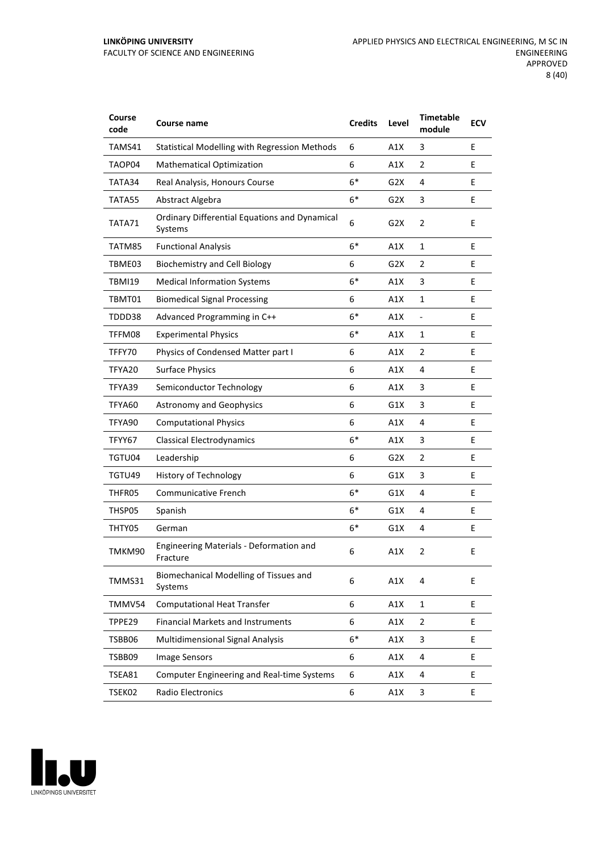| Course<br>code | Course name                                                     | <b>Credits</b> | Level            | <b>Timetable</b><br>module | <b>ECV</b> |
|----------------|-----------------------------------------------------------------|----------------|------------------|----------------------------|------------|
| TAMS41         | <b>Statistical Modelling with Regression Methods</b>            | 6              | A1X              | 3                          | E          |
| TAOP04         | <b>Mathematical Optimization</b>                                | 6              | A1X              | 2                          | E          |
| TATA34         | Real Analysis, Honours Course                                   | $6*$           | G2X              | 4                          | E          |
| TATA55         | Abstract Algebra                                                | $6*$           | G2X              | 3                          | E          |
| TATA71         | <b>Ordinary Differential Equations and Dynamical</b><br>Systems | 6              | G <sub>2</sub> X | $\overline{2}$             | E          |
| TATM85         | <b>Functional Analysis</b>                                      | $6*$           | A1X              | 1                          | E          |
| TBME03         | <b>Biochemistry and Cell Biology</b>                            | 6              | G2X              | 2                          | E          |
| <b>TBMI19</b>  | <b>Medical Information Systems</b>                              | $6*$           | A1X              | 3                          | E          |
| TBMT01         | <b>Biomedical Signal Processing</b>                             | 6              | A1X              | $\mathbf{1}$               | E          |
| TDDD38         | Advanced Programming in C++                                     | $6*$           | A1X              | $\frac{1}{2}$              | E          |
| TFFM08         | <b>Experimental Physics</b>                                     | $6*$           | A1X              | $\mathbf{1}$               | E          |
| TFFY70         | Physics of Condensed Matter part I                              | 6              | A1X              | $\overline{2}$             | E          |
| TFYA20         | <b>Surface Physics</b>                                          | 6              | A1X              | 4                          | E          |
| TFYA39         | Semiconductor Technology                                        | 6              | A1X              | 3                          | E          |
| TFYA60         | <b>Astronomy and Geophysics</b>                                 | 6              | G1X              | 3                          | E          |
| TFYA90         | <b>Computational Physics</b>                                    | 6              | A1X              | 4                          | E          |
| TFYY67         | <b>Classical Electrodynamics</b>                                | $6*$           | A1X              | 3                          | E          |
| TGTU04         | Leadership                                                      | 6              | G2X              | $\overline{2}$             | E          |
| TGTU49         | <b>History of Technology</b>                                    | 6              | G1X              | 3                          | E          |
| THFR05         | Communicative French                                            | $6*$           | G1X              | 4                          | E          |
| THSP05         | Spanish                                                         | $6*$           | G1X              | 4                          | E          |
| THTY05         | German                                                          | $6*$           | G1X              | 4                          | E          |
| TMKM90         | <b>Engineering Materials - Deformation and</b><br>Fracture      | 6              | A1X              | $\overline{2}$             | E          |
| TMMS31         | Biomechanical Modelling of Tissues and<br>Systems               | 6              | A1X              | 4                          | E          |
| TMMV54         | <b>Computational Heat Transfer</b>                              | 6              | A1X              | $\mathbf{1}$               | E          |
| TPPE29         | <b>Financial Markets and Instruments</b>                        | 6              | A1X              | $\overline{2}$             | E.         |
| TSBB06         | Multidimensional Signal Analysis                                | $6*$           | A1X              | 3                          | E.         |
| TSBB09         | <b>Image Sensors</b>                                            | 6              | A1X              | 4                          | E          |
| TSEA81         | <b>Computer Engineering and Real-time Systems</b>               | 6              | A1X              | 4                          | E          |
| TSEK02         | Radio Electronics                                               | 6              | A1X              | 3                          | E          |

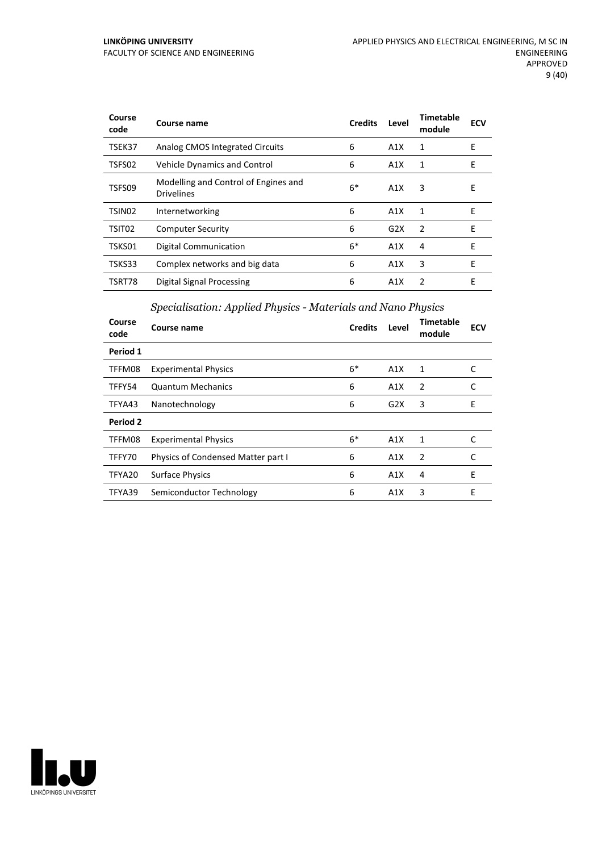#### **LINKÖPING UNIVERSITY** FACULTY OF SCIENCE AND ENGINEERING

| Course<br>code     | Course name                                               | <b>Credits</b> | Level | Timetable<br>module | <b>ECV</b> |
|--------------------|-----------------------------------------------------------|----------------|-------|---------------------|------------|
| TSEK37             | Analog CMOS Integrated Circuits                           | 6              | A1X   | 1                   | E          |
| TSFS02             | <b>Vehicle Dynamics and Control</b>                       | 6              | A1X   | 1                   | E          |
| TSFS09             | Modelling and Control of Engines and<br><b>Drivelines</b> | $6*$           | A1X   | 3                   | E          |
| TSIN <sub>02</sub> | Internetworking                                           | 6              | A1X   | 1                   | E          |
| TSIT <sub>02</sub> | <b>Computer Security</b>                                  | 6              | G2X   | $\overline{2}$      | E          |
| TSKS01             | Digital Communication                                     | $6*$           | A1X   | 4                   | F          |
| TSKS33             | Complex networks and big data                             | 6              | A1X   | 3                   | E          |
| TSRT78             | <b>Digital Signal Processing</b>                          | 6              | A1X   | $\mathcal{P}$       | E          |

# *Specialisation: Applied Physics - Materials and Nano Physics*

| Course<br>code | Course name                        | <b>Credits</b> | Level | <b>Timetable</b><br>module | <b>ECV</b> |
|----------------|------------------------------------|----------------|-------|----------------------------|------------|
| Period 1       |                                    |                |       |                            |            |
| TFFM08         | <b>Experimental Physics</b>        | $6*$           | A1X   | 1                          | C          |
| TFFY54         | <b>Quantum Mechanics</b>           | 6              | A1X   | 2                          | C          |
| TFYA43         | Nanotechnology                     | 6              | G2X   | 3                          | E          |
| Period 2       |                                    |                |       |                            |            |
| TFFM08         | <b>Experimental Physics</b>        | $6*$           | A1X   | 1                          |            |
| TFFY70         | Physics of Condensed Matter part I | 6              | A1X   | 2                          |            |
| TFYA20         | <b>Surface Physics</b>             | 6              | A1X   | 4                          | E          |
| TFYA39         | Semiconductor Technology           | 6              | A1X   | 3                          | E          |

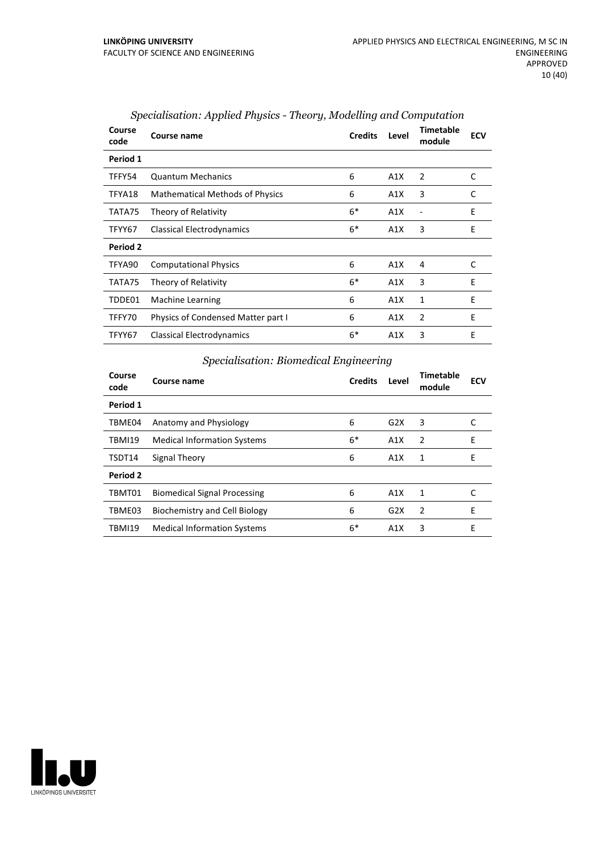| Course<br>code | Course name                               | <b>Credits</b> | Level | <b>Timetable</b><br>module | <b>ECV</b> |
|----------------|-------------------------------------------|----------------|-------|----------------------------|------------|
| Period 1       |                                           |                |       |                            |            |
| TFFY54         | <b>Quantum Mechanics</b>                  | 6              | A1X   | 2                          | C          |
| TFYA18         | <b>Mathematical Methods of Physics</b>    | 6              | A1X   | 3                          | C          |
| TATA75         | Theory of Relativity                      | $6*$           | A1X   | Ē,                         | E          |
| TFYY67         | Classical Electrodynamics                 | $6*$           | A1X   | 3                          | E          |
| Period 2       |                                           |                |       |                            |            |
| TFYA90         | <b>Computational Physics</b>              | 6              | A1X   | 4                          | C          |
| TATA75         | Theory of Relativity                      | $6*$           | A1X   | 3                          | E          |
| TDDE01         | <b>Machine Learning</b>                   | 6              | A1X   | 1                          | E          |
| TFFY70         | <b>Physics of Condensed Matter part I</b> | 6              | A1X   | 2                          | E          |
| TFYY67         | Classical Electrodynamics                 | $6*$           | A1X   | 3                          | E          |

#### *Specialisation: Applied Physics - Theory, Modelling and Computation*

#### *Specialisation: Biomedical Engineering*

| Course<br>code | Course name                         | <b>Credits</b> | Level | Timetable<br>module | <b>ECV</b> |
|----------------|-------------------------------------|----------------|-------|---------------------|------------|
| Period 1       |                                     |                |       |                     |            |
| TBME04         | Anatomy and Physiology              | 6              | G2X   | 3                   | C          |
| <b>TBMI19</b>  | <b>Medical Information Systems</b>  | $6*$           | A1X   | $\overline{2}$      | E          |
| TSDT14         | Signal Theory                       | 6              | A1X   | 1                   | E          |
| Period 2       |                                     |                |       |                     |            |
| TBMT01         | <b>Biomedical Signal Processing</b> | 6              | A1X   | 1                   | C          |
| TBME03         | Biochemistry and Cell Biology       | 6              | G2X   | $\overline{2}$      | E          |
| <b>TBMI19</b>  | <b>Medical Information Systems</b>  | $6*$           | A1X   | 3                   | E          |

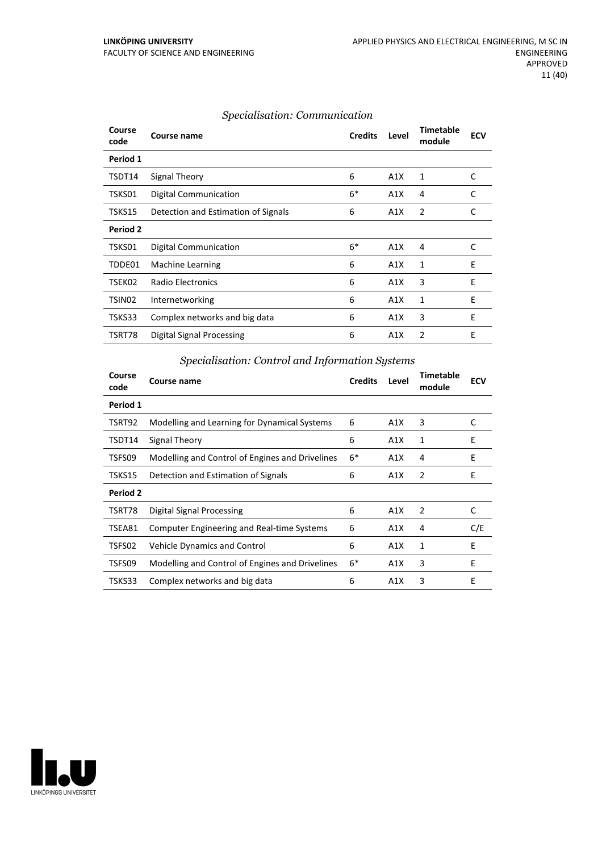| Course<br>code | Course name                         | <b>Credits</b> | Level | <b>Timetable</b><br>module | <b>ECV</b> |
|----------------|-------------------------------------|----------------|-------|----------------------------|------------|
| Period 1       |                                     |                |       |                            |            |
| TSDT14         | Signal Theory                       | 6              | A1X   | $\mathbf{1}$               | C          |
| TSKS01         | Digital Communication               | $6*$           | A1X   | 4                          | C          |
| TSKS15         | Detection and Estimation of Signals | 6              | A1X   | 2                          | C          |
| Period 2       |                                     |                |       |                            |            |
| TSKS01         | Digital Communication               | $6*$           | A1X   | 4                          | C          |
| TDDE01         | Machine Learning                    | 6              | A1X   | 1                          | E          |
| TSEK02         | Radio Electronics                   | 6              | A1X   | 3                          | E          |
| TSIN02         | Internetworking                     | 6              | A1X   | 1                          | E          |
| TSKS33         | Complex networks and big data       | 6              | A1X   | 3                          | E          |
| TSRT78         | Digital Signal Processing           | 6              | A1X   | 2                          | E          |

#### *Specialisation: Communication*

#### *Specialisation: Control and Information Systems*

| Course<br>code | Course name                                       | <b>Credits</b> | Level | <b>Timetable</b><br>module | <b>ECV</b> |
|----------------|---------------------------------------------------|----------------|-------|----------------------------|------------|
| Period 1       |                                                   |                |       |                            |            |
| TSRT92         | Modelling and Learning for Dynamical Systems      | 6              | A1X   | 3                          | C          |
| TSDT14         | Signal Theory                                     | 6              | A1X   | 1                          | E          |
| TSFS09         | Modelling and Control of Engines and Drivelines   | $6*$           | A1X   | 4                          | E          |
| TSKS15         | Detection and Estimation of Signals               | 6              | A1X   | $\overline{2}$             | E          |
| Period 2       |                                                   |                |       |                            |            |
| TSRT78         | Digital Signal Processing                         | 6              | A1X   | 2                          | C          |
| TSEA81         | <b>Computer Engineering and Real-time Systems</b> | 6              | A1X   | 4                          | C/E        |
| TSFS02         | <b>Vehicle Dynamics and Control</b>               | 6              | A1X   | 1                          | E          |
| TSFS09         | Modelling and Control of Engines and Drivelines   | $6*$           | A1X   | 3                          | E          |
| TSKS33         | Complex networks and big data                     | 6              | A1X   | 3                          | E          |

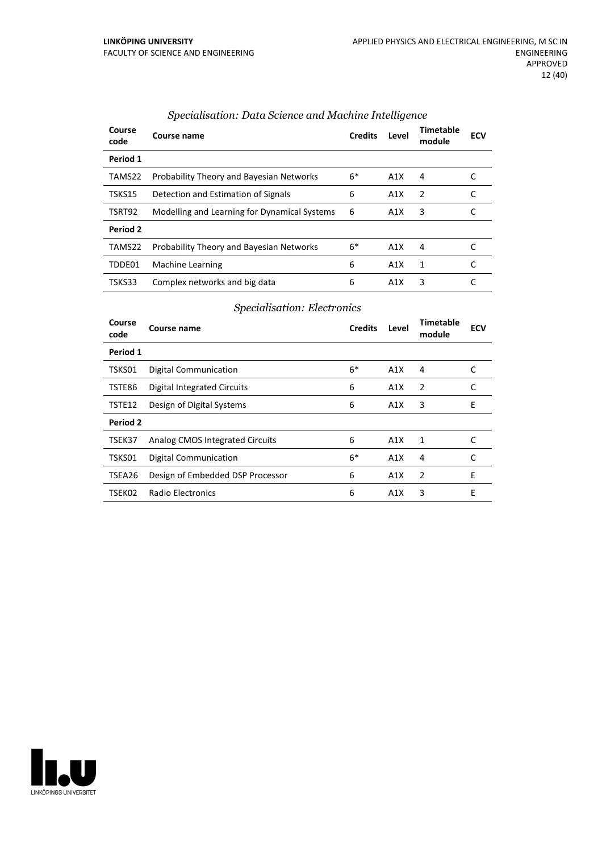| Course<br>code | Course name                                     | <b>Credits</b> | Level | Timetable<br>module | <b>ECV</b> |
|----------------|-------------------------------------------------|----------------|-------|---------------------|------------|
| Period 1       |                                                 |                |       |                     |            |
| TAMS22         | <b>Probability Theory and Bayesian Networks</b> | $6*$           | A1X   | 4                   |            |
| TSKS15         | Detection and Estimation of Signals             | 6              | A1X   | 2                   |            |
| TSRT92         | Modelling and Learning for Dynamical Systems    | 6              | A1X   | 3                   |            |
| Period 2       |                                                 |                |       |                     |            |
| TAMS22         | <b>Probability Theory and Bayesian Networks</b> | $6*$           | A1X   | 4                   |            |
| TDDE01         | Machine Learning                                | 6              | A1X   | 1                   |            |
| TSKS33         | Complex networks and big data                   | 6              | A1X   | 3                   |            |

#### *Specialisation: Data Science and Machine Intelligence*

#### *Specialisation: Electronics*

| Course<br>code | Course name                      | <b>Credits</b> | Level | Timetable<br>module | <b>ECV</b> |
|----------------|----------------------------------|----------------|-------|---------------------|------------|
| Period 1       |                                  |                |       |                     |            |
| TSKS01         | <b>Digital Communication</b>     | $6*$           | A1X   | 4                   | C          |
| TSTE86         | Digital Integrated Circuits      | 6              | A1X   | 2                   | C          |
| TSTE12         | Design of Digital Systems        | 6              | A1X   | 3                   | E          |
| Period 2       |                                  |                |       |                     |            |
| TSEK37         | Analog CMOS Integrated Circuits  | 6              | A1X   | 1                   | C          |
| TSKS01         | <b>Digital Communication</b>     | $6*$           | A1X   | 4                   | C          |
| TSEA26         | Design of Embedded DSP Processor | 6              | A1X   | $\overline{2}$      | E          |
| TSEK02         | Radio Electronics                | 6              | A1X   | 3                   | E          |

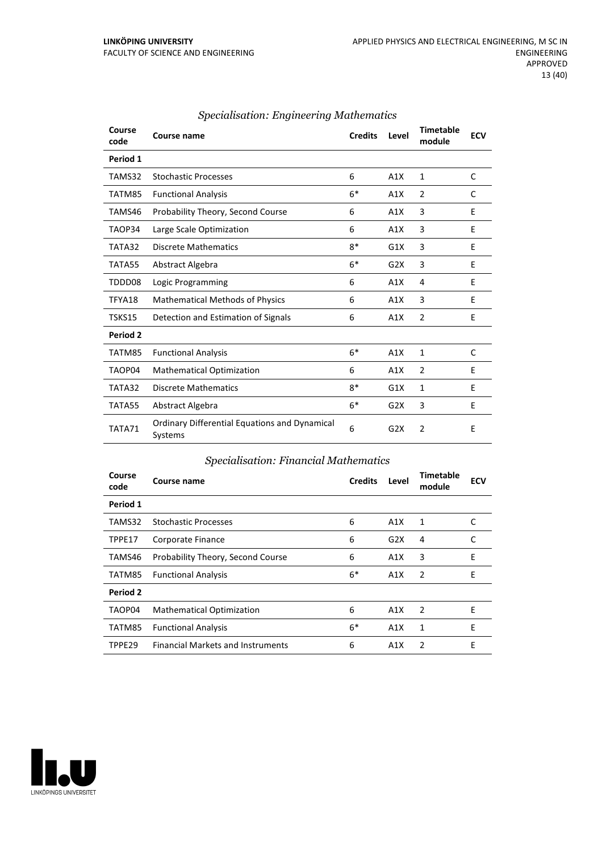| Course<br>code  | Course name                                                     | <b>Credits</b> | Level            | <b>Timetable</b><br>module | <b>ECV</b> |
|-----------------|-----------------------------------------------------------------|----------------|------------------|----------------------------|------------|
| Period 1        |                                                                 |                |                  |                            |            |
| TAMS32          | <b>Stochastic Processes</b>                                     | 6              | A1X              | 1                          | C          |
| TATM85          | <b>Functional Analysis</b>                                      | $6*$           | A1X              | 2                          | C          |
| TAMS46          | Probability Theory, Second Course                               | 6              | A1X              | 3                          | E          |
| TAOP34          | Large Scale Optimization                                        | 6              | A1X              | 3                          | E          |
| TATA32          | <b>Discrete Mathematics</b>                                     | $8*$           | G1X              | 3                          | E          |
| TATA55          | Abstract Algebra                                                | $6*$           | G <sub>2</sub> X | 3                          | E          |
| TDDD08          | Logic Programming                                               | 6              | A1X              | 4                          | E          |
| TFYA18          | <b>Mathematical Methods of Physics</b>                          | 6              | A1X              | 3                          | E          |
| TSKS15          | Detection and Estimation of Signals                             | 6              | A1X              | 2                          | E          |
| <b>Period 2</b> |                                                                 |                |                  |                            |            |
| TATM85          | <b>Functional Analysis</b>                                      | $6*$           | A1X              | $\mathbf{1}$               | C          |
| TAOP04          | <b>Mathematical Optimization</b>                                | 6              | A1X              | $\overline{2}$             | E          |
| TATA32          | <b>Discrete Mathematics</b>                                     | $8*$           | G1X              | $\mathbf{1}$               | E          |
| TATA55          | Abstract Algebra                                                | $6*$           | G <sub>2</sub> X | 3                          | E          |
| TATA71          | <b>Ordinary Differential Equations and Dynamical</b><br>Systems | 6              | G <sub>2</sub> X | 2                          | E          |

#### *Specialisation: Engineering Mathematics*

#### *Specialisation: Financial Mathematics*

| Course<br>code     | Course name                              | <b>Credits</b> | Level | <b>Timetable</b><br>module | <b>ECV</b> |
|--------------------|------------------------------------------|----------------|-------|----------------------------|------------|
| Period 1           |                                          |                |       |                            |            |
| TAMS32             | <b>Stochastic Processes</b>              | 6              | A1X   | 1                          | C          |
| TPPE17             | Corporate Finance                        | 6              | G2X   | 4                          | C          |
| TAMS46             | Probability Theory, Second Course        | 6              | A1X   | 3                          | E          |
| TATM85             | <b>Functional Analysis</b>               | $6*$           | A1X   | 2                          | E          |
| Period 2           |                                          |                |       |                            |            |
| TAOP04             | <b>Mathematical Optimization</b>         | 6              | A1X   | 2                          | F          |
| TATM85             | <b>Functional Analysis</b>               | $6*$           | A1X   | 1                          | E          |
| TPPE <sub>29</sub> | <b>Financial Markets and Instruments</b> | 6              | A1X   | 2                          | E          |

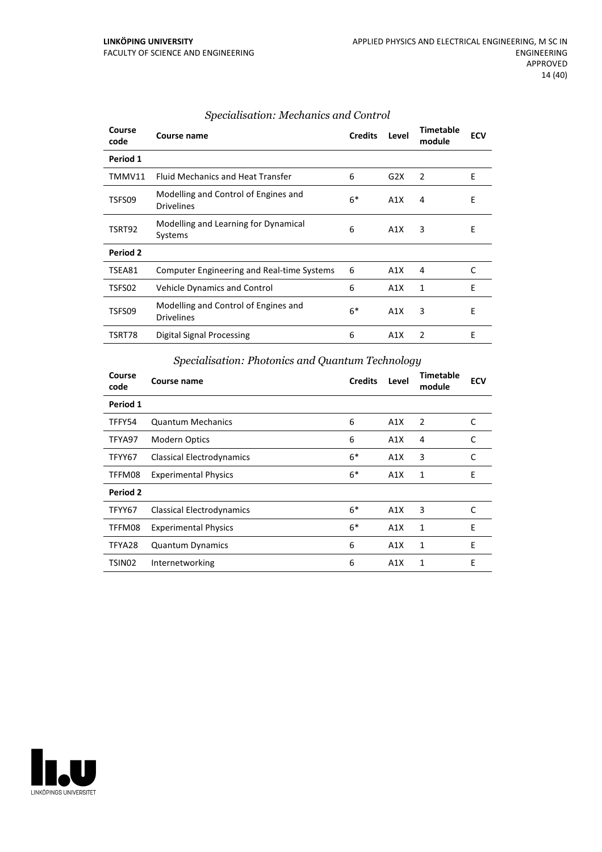| Course<br>code | Course name                                               | <b>Credits</b> | Level | <b>Timetable</b><br>module | <b>ECV</b> |
|----------------|-----------------------------------------------------------|----------------|-------|----------------------------|------------|
| Period 1       |                                                           |                |       |                            |            |
| TMMV11         | <b>Fluid Mechanics and Heat Transfer</b>                  | 6              | G2X   | 2                          | E          |
| TSFS09         | Modelling and Control of Engines and<br><b>Drivelines</b> | $6*$           | A1X   | 4                          | Ε          |
| TSRT92         | Modelling and Learning for Dynamical<br>Systems           | 6              | A1X   | 3                          | E          |
| Period 2       |                                                           |                |       |                            |            |
| TSEA81         | Computer Engineering and Real-time Systems                | 6              | A1X   | 4                          | C          |
| TSFS02         | Vehicle Dynamics and Control                              | 6              | A1X   | 1                          | E          |
| TSFS09         | Modelling and Control of Engines and<br><b>Drivelines</b> | $6*$           | A1X   | 3                          | E          |
| TSRT78         | Digital Signal Processing                                 | 6              | A1X   | $\overline{2}$             | E          |

#### *Specialisation: Mechanics and Control*

# *Specialisation: Photonics and Quantum Technology*

| Course<br>code | Course name                      | <b>Credits</b> | Level | <b>Timetable</b><br>module | <b>ECV</b> |
|----------------|----------------------------------|----------------|-------|----------------------------|------------|
| Period 1       |                                  |                |       |                            |            |
| TFFY54         | <b>Quantum Mechanics</b>         | 6              | A1X   | $\overline{2}$             | C          |
| TFYA97         | <b>Modern Optics</b>             | 6              | A1X   | 4                          | C          |
| TFYY67         | <b>Classical Electrodynamics</b> | $6*$           | A1X   | 3                          | C          |
| TFFM08         | <b>Experimental Physics</b>      | $6*$           | A1X   | 1                          | E          |
| Period 2       |                                  |                |       |                            |            |
| TFYY67         | <b>Classical Electrodynamics</b> | $6*$           | A1X   | 3                          | C          |
| TFFM08         | <b>Experimental Physics</b>      | $6*$           | A1X   | $\mathbf{1}$               | E          |
| TFYA28         | Quantum Dynamics                 | 6              | A1X   | 1                          | E          |
| TSIN02         | Internetworking                  | 6              | A1X   | 1                          | E          |

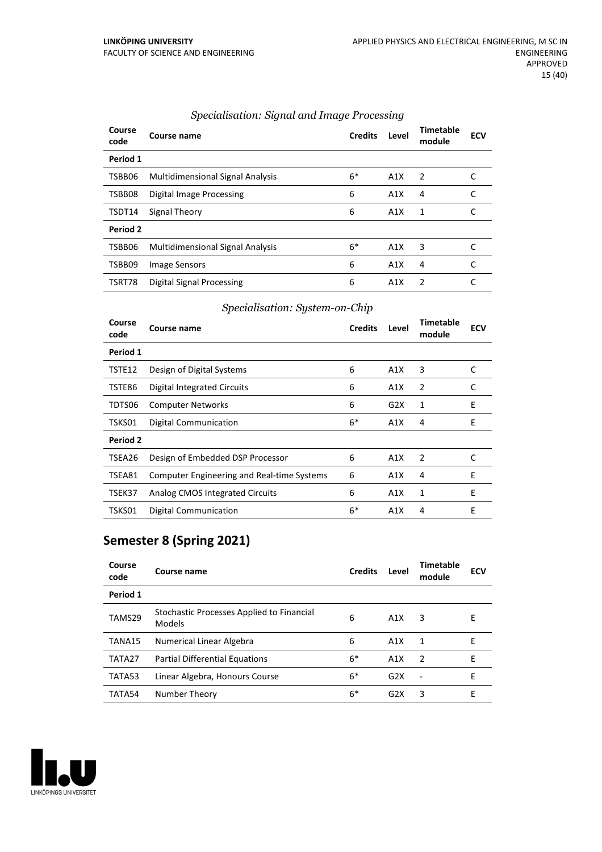| Course<br>code | Course name                             | <b>Credits</b> | Level | <b>Timetable</b><br>module | <b>ECV</b> |
|----------------|-----------------------------------------|----------------|-------|----------------------------|------------|
| Period 1       |                                         |                |       |                            |            |
| TSBB06         | Multidimensional Signal Analysis        | $6*$           | A1X   | 2                          |            |
| TSBB08         | Digital Image Processing                | 6              | A1X   | 4                          |            |
| TSDT14         | Signal Theory                           | 6              | A1X   | 1                          |            |
| Period 2       |                                         |                |       |                            |            |
| TSBB06         | <b>Multidimensional Signal Analysis</b> | $6*$           | A1X   | 3                          |            |
| TSBB09         | Image Sensors                           | 6              | A1X   | 4                          |            |
| TSRT78         | Digital Signal Processing               | 6              | A1X   | $\mathcal{P}$              |            |

#### *Specialisation: Signal and Image Processing*

#### *Specialisation: System-on-Chip*

| Course<br>code  | Course name                                       | <b>Credits</b> | Level | Timetable<br>module | <b>ECV</b> |
|-----------------|---------------------------------------------------|----------------|-------|---------------------|------------|
| Period 1        |                                                   |                |       |                     |            |
| TSTE12          | Design of Digital Systems                         | 6              | A1X   | 3                   | C          |
| TSTE86          | Digital Integrated Circuits                       | 6              | A1X   | 2                   | C          |
| TDTS06          | <b>Computer Networks</b>                          | 6              | G2X   | 1                   | E          |
| TSKS01          | Digital Communication                             | $6*$           | A1X   | 4                   | E          |
| <b>Period 2</b> |                                                   |                |       |                     |            |
| TSEA26          | Design of Embedded DSP Processor                  | 6              | A1X   | 2                   | C          |
| TSEA81          | <b>Computer Engineering and Real-time Systems</b> | 6              | A1X   | 4                   | E          |
| TSEK37          | Analog CMOS Integrated Circuits                   | 6              | A1X   | 1                   | F          |
| TSKS01          | Digital Communication                             | $6*$           | A1X   | 4                   | E          |

# **Semester 8 (Spring 2021)**

| Course<br>code | Course name                                         | <b>Credits</b> | Level | Timetable<br>module | <b>ECV</b> |
|----------------|-----------------------------------------------------|----------------|-------|---------------------|------------|
| Period 1       |                                                     |                |       |                     |            |
| TAMS29         | Stochastic Processes Applied to Financial<br>Models | 6              | A1X   | 3                   | F          |
| TANA15         | Numerical Linear Algebra                            | 6              | A1X   | 1                   | F          |
| TATA27         | <b>Partial Differential Equations</b>               | $6*$           | A1X   | 2                   | Е          |
| TATA53         | Linear Algebra, Honours Course                      | $6*$           | G2X   | $\blacksquare$      | Е          |
| TATA54         | Number Theory                                       | $6*$           | G2X   | 3                   | Е          |

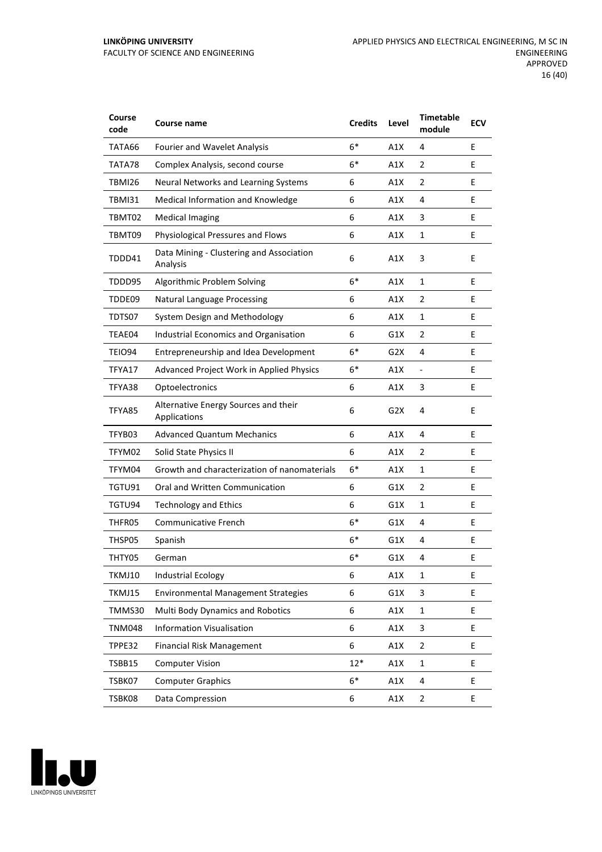#### **LINKÖPING UNIVERSITY** FACULTY OF SCIENCE AND ENGINEERING

| Course<br>code | Course name                                          | <b>Credits</b> | Level | <b>Timetable</b><br>module | <b>ECV</b> |
|----------------|------------------------------------------------------|----------------|-------|----------------------------|------------|
| TATA66         | <b>Fourier and Wavelet Analysis</b>                  | $6*$           | A1X   | 4                          | E          |
| TATA78         | Complex Analysis, second course                      | $6*$           | A1X   | $\overline{2}$             | E          |
| TBMI26         | Neural Networks and Learning Systems                 | 6              | A1X   | 2                          | E          |
| <b>TBMI31</b>  | Medical Information and Knowledge                    | 6              | A1X   | 4                          | E          |
| TBMT02         | <b>Medical Imaging</b>                               | 6              | A1X   | 3                          | E          |
| TBMT09         | Physiological Pressures and Flows                    | 6              | A1X   | $\mathbf{1}$               | E          |
| TDDD41         | Data Mining - Clustering and Association<br>Analysis | 6              | A1X   | 3                          | E          |
| TDDD95         | Algorithmic Problem Solving                          | $6*$           | A1X   | $\mathbf{1}$               | E          |
| TDDE09         | <b>Natural Language Processing</b>                   | 6              | A1X   | 2                          | E          |
| TDTS07         | System Design and Methodology                        | 6              | A1X   | $\mathbf{1}$               | E          |
| TEAE04         | Industrial Economics and Organisation                | 6              | G1X   | $\overline{2}$             | E          |
| TEIO94         | Entrepreneurship and Idea Development                | $6*$           | G2X   | 4                          | E          |
| TFYA17         | Advanced Project Work in Applied Physics             | 6*             | A1X   | $\blacksquare$             | E          |
| TFYA38         | Optoelectronics                                      | 6              | A1X   | 3                          | E          |
| TFYA85         | Alternative Energy Sources and their<br>Applications | 6              | G2X   | 4                          | E          |
| TFYB03         | <b>Advanced Quantum Mechanics</b>                    | 6              | A1X   | 4                          | E          |
| TFYM02         | Solid State Physics II                               | 6              | A1X   | $\overline{2}$             | E.         |
| TFYM04         | Growth and characterization of nanomaterials         | $6*$           | A1X   | $\mathbf{1}$               | E          |
| TGTU91         | Oral and Written Communication                       | 6              | G1X   | 2                          | E          |
| TGTU94         | <b>Technology and Ethics</b>                         | 6              | G1X   | $\mathbf{1}$               | E          |
| THFR05         | <b>Communicative French</b>                          | $6*$           | G1X   | 4                          | E          |
| THSP05         | Spanish                                              | 6*             | G1X   | 4                          | E          |
| THTY05         | German                                               | $6*$           | G1X   | 4                          | E          |
| TKMJ10         | <b>Industrial Ecology</b>                            | 6              | A1X   | $\mathbf{1}$               | E          |
| TKMJ15         | <b>Environmental Management Strategies</b>           | 6              | G1X   | 3                          | E          |
| TMMS30         | Multi Body Dynamics and Robotics                     | 6              | A1X   | $\mathbf 1$                | E.         |
| <b>TNM048</b>  | <b>Information Visualisation</b>                     | 6              | A1X   | 3                          | E.         |
| TPPE32         | <b>Financial Risk Management</b>                     | 6              | A1X   | $\mathbf 2$                | E          |
| TSBB15         | <b>Computer Vision</b>                               | $12*$          | A1X   | $\mathbf{1}$               | E          |
| TSBK07         | <b>Computer Graphics</b>                             | $6*$           | A1X   | 4                          | E          |
| TSBK08         | Data Compression                                     | 6              | A1X   | $\overline{2}$             | E          |

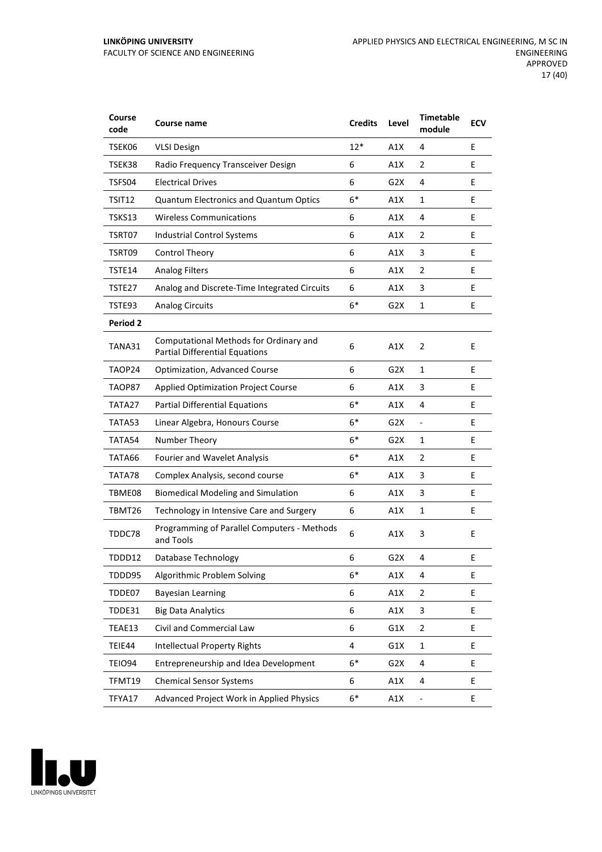| Course<br>code  | Course name                                                                     | <b>Credits</b> | Level            | <b>Timetable</b><br>module | <b>ECV</b> |
|-----------------|---------------------------------------------------------------------------------|----------------|------------------|----------------------------|------------|
| TSEK06          | <b>VLSI Design</b>                                                              | $12*$          | A1X              | 4                          | E          |
| TSEK38          | Radio Frequency Transceiver Design                                              | 6              | A1X              | 2                          | E          |
| TSFS04          | <b>Electrical Drives</b>                                                        | 6              | G2X              | 4                          | E          |
| TSIT12          | Quantum Electronics and Quantum Optics                                          | $6*$           | A1X              | 1                          | E          |
| TSKS13          | <b>Wireless Communications</b>                                                  | 6              | A1X              | 4                          | E          |
| TSRT07          | Industrial Control Systems                                                      | 6              | A1X              | 2                          | E          |
| TSRT09          | <b>Control Theory</b>                                                           | 6              | A1X              | 3                          | E          |
| TSTE14          | <b>Analog Filters</b>                                                           | 6              | A1X              | 2                          | E          |
| TSTE27          | Analog and Discrete-Time Integrated Circuits                                    | 6              | A1X              | 3                          | E          |
| TSTE93          | <b>Analog Circuits</b>                                                          | $6*$           | G2X              | 1                          | E          |
| <b>Period 2</b> |                                                                                 |                |                  |                            |            |
| TANA31          | Computational Methods for Ordinary and<br><b>Partial Differential Equations</b> | 6              | A1X              | $\overline{2}$             | E          |
| TAOP24          | Optimization, Advanced Course                                                   | 6              | G <sub>2</sub> X | 1                          | E          |
| TAOP87          | <b>Applied Optimization Project Course</b>                                      | 6              | A1X              | 3                          | E          |
| TATA27          | <b>Partial Differential Equations</b>                                           | $6*$           | A1X              | 4                          | E          |
| TATA53          | Linear Algebra, Honours Course                                                  | $6*$           | G2X              | $\frac{1}{2}$              | E          |
| TATA54          | Number Theory                                                                   | $6*$           | G2X              | 1                          | E          |
| TATA66          | Fourier and Wavelet Analysis                                                    | $6*$           | A1X              | 2                          | E          |
| TATA78          | Complex Analysis, second course                                                 | $6*$           | A1X              | 3                          | E          |
| TBME08          | <b>Biomedical Modeling and Simulation</b>                                       | 6              | A1X              | 3                          | E          |
| TBMT26          | Technology in Intensive Care and Surgery                                        | 6              | A1X              | $\mathbf{1}$               | Е          |
| TDDC78          | Programming of Parallel Computers - Methods<br>and Tools                        | 6              | A1X              | 3                          | E          |
| TDDD12          | Database Technology                                                             | 6              | G <sub>2</sub> X | 4                          | E          |
| TDDD95          | Algorithmic Problem Solving                                                     | $6*$           | A1X              | 4                          | E          |
| TDDE07          | <b>Bayesian Learning</b>                                                        | 6              | A1X              | 2                          | E          |
| TDDE31          | <b>Big Data Analytics</b>                                                       | 6              | A1X              | 3                          | E.         |
| TEAE13          | Civil and Commercial Law                                                        | 6              | G1X              | $\overline{2}$             | E          |
| TEIE44          | <b>Intellectual Property Rights</b>                                             | 4              | G1X              | $\mathbf 1$                | E          |
| <b>TEIO94</b>   | Entrepreneurship and Idea Development                                           | $6*$           | G <sub>2</sub> X | 4                          | E          |
| TFMT19          | <b>Chemical Sensor Systems</b>                                                  | 6              | A1X              | 4                          | E          |
| TFYA17          | Advanced Project Work in Applied Physics                                        | $6*$           | A1X              | $\overline{\phantom{0}}$   | E          |

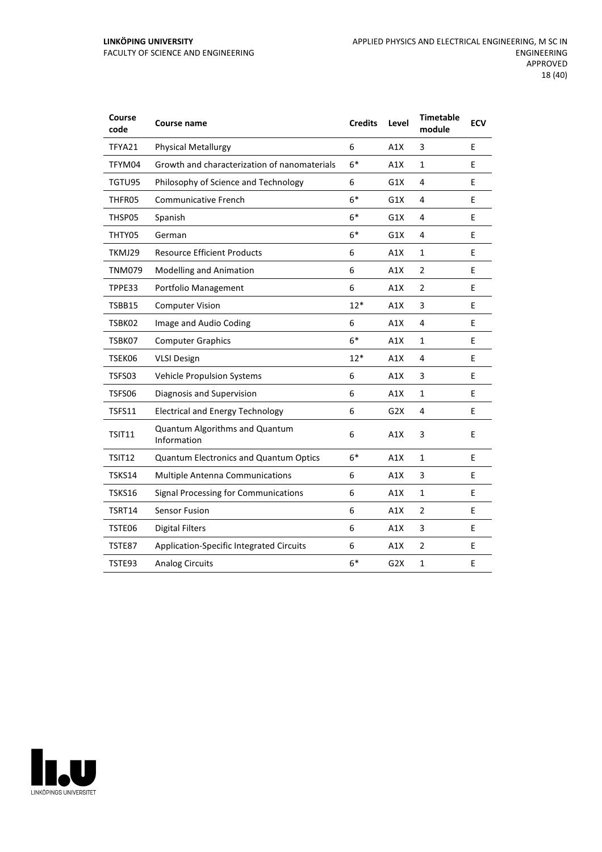#### **LINKÖPING UNIVERSITY** FACULTY OF SCIENCE AND ENGINEERING

| Course<br>code | Course name                                   | <b>Credits</b> | Level | <b>Timetable</b><br>module | <b>ECV</b> |
|----------------|-----------------------------------------------|----------------|-------|----------------------------|------------|
| TFYA21         | <b>Physical Metallurgy</b>                    | 6              | A1X   | 3                          | E          |
| TFYM04         | Growth and characterization of nanomaterials  | $6*$           | A1X   | $\mathbf 1$                | E          |
| TGTU95         | Philosophy of Science and Technology          | 6              | G1X   | 4                          | E          |
| THFR05         | <b>Communicative French</b>                   | $6*$           | G1X   | 4                          | E          |
| THSP05         | Spanish                                       | $6*$           | G1X   | 4                          | E          |
| THTY05         | German                                        | $6*$           | G1X   | 4                          | E          |
| TKMJ29         | <b>Resource Efficient Products</b>            | 6              | A1X   | $\mathbf{1}$               | E          |
| <b>TNM079</b>  | <b>Modelling and Animation</b>                | 6              | A1X   | 2                          | E          |
| TPPE33         | Portfolio Management                          | 6              | A1X   | $\overline{2}$             | E          |
| TSBB15         | <b>Computer Vision</b>                        | $12*$          | A1X   | 3                          | E          |
| TSBK02         | Image and Audio Coding                        | 6              | A1X   | 4                          | E          |
| TSBK07         | <b>Computer Graphics</b>                      | $6*$           | A1X   | $\mathbf{1}$               | E          |
| TSEK06         | <b>VLSI Design</b>                            | $12*$          | A1X   | 4                          | E          |
| TSFS03         | Vehicle Propulsion Systems                    | 6              | A1X   | 3                          | E          |
| TSFS06         | Diagnosis and Supervision                     | 6              | A1X   | $\mathbf{1}$               | E          |
| TSFS11         | <b>Electrical and Energy Technology</b>       | 6              | G2X   | 4                          | E          |
| <b>TSIT11</b>  | Quantum Algorithms and Quantum<br>Information | 6              | A1X   | 3                          | E          |
| TSIT12         | <b>Quantum Electronics and Quantum Optics</b> | $6*$           | A1X   | $\mathbf{1}$               | E          |
| TSKS14         | <b>Multiple Antenna Communications</b>        | 6              | A1X   | 3                          | E          |
| <b>TSKS16</b>  | Signal Processing for Communications          | 6              | A1X   | $\mathbf{1}$               | E          |
| TSRT14         | <b>Sensor Fusion</b>                          | 6              | A1X   | $\overline{2}$             | E          |
| TSTE06         | <b>Digital Filters</b>                        | 6              | A1X   | 3                          | E          |
| TSTE87         | Application-Specific Integrated Circuits      | 6              | A1X   | $\overline{2}$             | E          |
| TSTE93         | <b>Analog Circuits</b>                        | $6*$           | G2X   | $\mathbf{1}$               | E          |

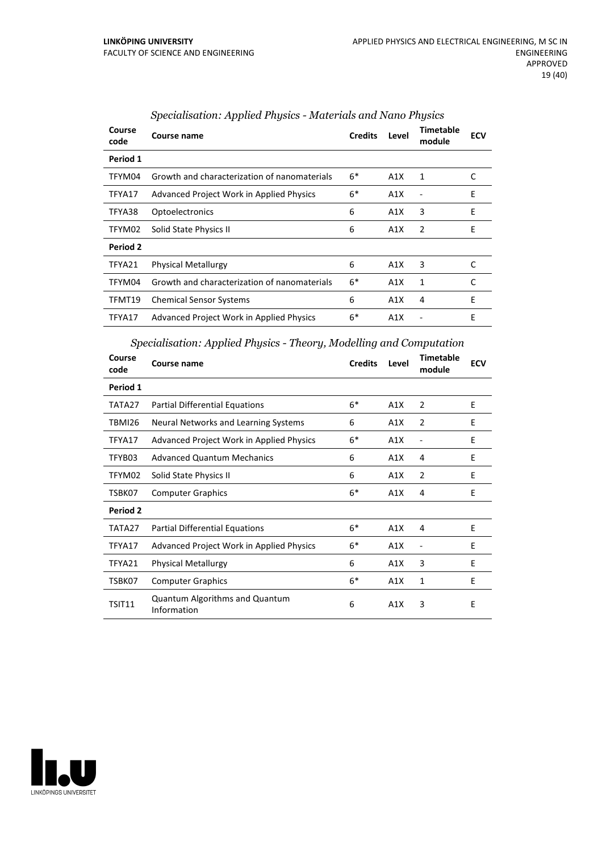| Course<br>code | Course name                                     | <b>Credits</b> | Level | Timetable<br>module | <b>ECV</b> |
|----------------|-------------------------------------------------|----------------|-------|---------------------|------------|
| Period 1       |                                                 |                |       |                     |            |
| TFYM04         | Growth and characterization of nanomaterials    | $6*$           | A1X   | 1                   | C          |
| TFYA17         | <b>Advanced Project Work in Applied Physics</b> | $6*$           | A1X   |                     | E          |
| TFYA38         | Optoelectronics                                 | 6              | A1X   | 3                   | E          |
| TFYM02         | Solid State Physics II                          | 6              | A1X   | $\overline{2}$      | E          |
| Period 2       |                                                 |                |       |                     |            |
| TFYA21         | <b>Physical Metallurgy</b>                      | 6              | A1X   | 3                   | C          |
| TFYM04         | Growth and characterization of nanomaterials    | $6*$           | A1X   | 1                   | C          |
| TFMT19         | <b>Chemical Sensor Systems</b>                  | 6              | A1X   | 4                   | E          |
| TFYA17         | <b>Advanced Project Work in Applied Physics</b> | $6*$           | A1X   |                     | E          |

# *Specialisation: Applied Physics - Materials and Nano Physics*

#### *Specialisation: Applied Physics - Theory, Modelling and Computation*

| Course<br>code | <b>Course name</b>                              | <b>Credits</b> | Level | Timetable<br>module | <b>ECV</b> |
|----------------|-------------------------------------------------|----------------|-------|---------------------|------------|
| Period 1       |                                                 |                |       |                     |            |
| TATA27         | Partial Differential Equations                  | $6*$           | A1X   | 2                   | E          |
| TBMI26         | Neural Networks and Learning Systems            | 6              | A1X   | $\overline{2}$      | E          |
| TFYA17         | Advanced Project Work in Applied Physics        | $6*$           | A1X   |                     | E          |
| TFYB03         | <b>Advanced Quantum Mechanics</b>               | 6              | A1X   | 4                   | E          |
| TFYM02         | Solid State Physics II                          | 6              | A1X   | 2                   | E          |
| TSBK07         | <b>Computer Graphics</b>                        | $6*$           | A1X   | 4                   | E          |
| Period 2       |                                                 |                |       |                     |            |
| TATA27         | Partial Differential Equations                  | $6*$           | A1X   | 4                   | E          |
| TFYA17         | <b>Advanced Project Work in Applied Physics</b> | $6*$           | A1X   |                     | E          |
| TFYA21         | <b>Physical Metallurgy</b>                      | 6              | A1X   | 3                   | E          |
| TSBK07         | <b>Computer Graphics</b>                        | $6*$           | A1X   | 1                   | E          |
| TSIT11         | Quantum Algorithms and Quantum<br>Information   | 6              | A1X   | 3                   | E          |

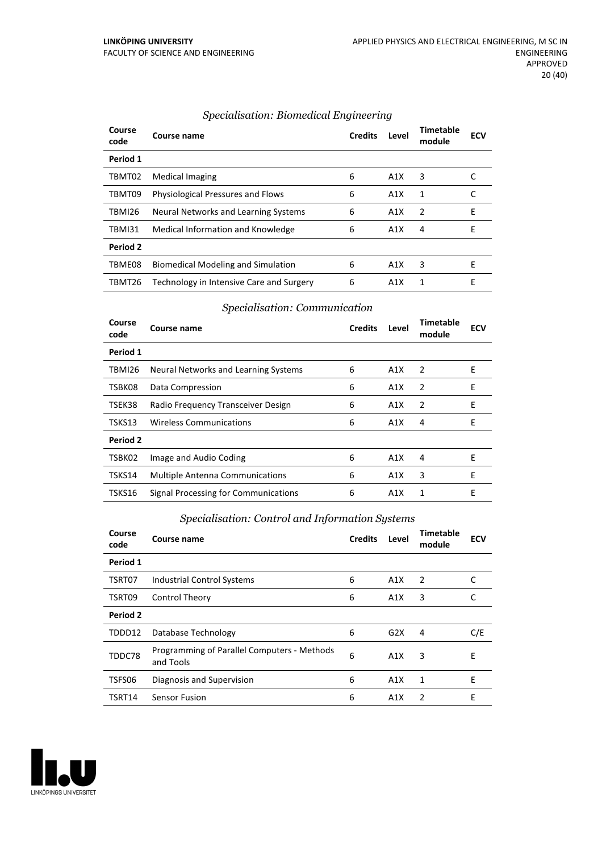| Course<br>code | Course name                              | <b>Credits</b> | Level            | Timetable<br>module | <b>ECV</b> |
|----------------|------------------------------------------|----------------|------------------|---------------------|------------|
| Period 1       |                                          |                |                  |                     |            |
| TBMT02         | <b>Medical Imaging</b>                   | 6              | A1X              | 3                   |            |
| TBMT09         | Physiological Pressures and Flows        | 6              | A1X              | 1                   |            |
| TBMI26         | Neural Networks and Learning Systems     | 6              | A1X              | 2                   | Е          |
| <b>TBMI31</b>  | Medical Information and Knowledge        | 6              | A1X              | 4                   | Е          |
| Period 2       |                                          |                |                  |                     |            |
| TBME08         | Biomedical Modeling and Simulation       | 6              | A1X              | 3                   | E          |
| TBMT26         | Technology in Intensive Care and Surgery | 6              | A <sub>1</sub> X | 1                   | Е          |

#### *Specialisation: Biomedical Engineering*

#### *Specialisation: Communication*

| Course<br>code | Course name                            | <b>Credits</b> | Level | Timetable<br>module | <b>ECV</b> |
|----------------|----------------------------------------|----------------|-------|---------------------|------------|
| Period 1       |                                        |                |       |                     |            |
| TBMI26         | Neural Networks and Learning Systems   | 6              | A1X   | 2                   | Е          |
| TSBK08         | Data Compression                       | 6              | A1X   | 2                   | E          |
| TSEK38         | Radio Frequency Transceiver Design     | 6              | A1X   | 2                   | F          |
| TSKS13         | <b>Wireless Communications</b>         | 6              | A1X   | 4                   | E          |
| Period 2       |                                        |                |       |                     |            |
| TSBK02         | Image and Audio Coding                 | 6              | A1X   | 4                   | E          |
| TSKS14         | <b>Multiple Antenna Communications</b> | 6              | A1X   | 3                   | Е          |
| TSKS16         | Signal Processing for Communications   | 6              | A1X   | 1                   | Е          |

#### *Specialisation: Control and Information Systems*

| Course<br>code | Course name                                              | <b>Credits</b> | Level | <b>Timetable</b><br>module | <b>ECV</b> |
|----------------|----------------------------------------------------------|----------------|-------|----------------------------|------------|
| Period 1       |                                                          |                |       |                            |            |
| TSRT07         | <b>Industrial Control Systems</b>                        | 6              | A1X   | 2                          | C          |
| TSRT09         | <b>Control Theory</b>                                    | 6              | A1X   | 3                          | C          |
| Period 2       |                                                          |                |       |                            |            |
| TDDD12         | Database Technology                                      | 6              | G2X   | 4                          | C/E        |
| TDDC78         | Programming of Parallel Computers - Methods<br>and Tools | 6              | A1X   | 3                          | E          |
| TSFS06         | Diagnosis and Supervision                                | 6              | A1X   | 1                          | E          |
| TSRT14         | Sensor Fusion                                            | 6              | A1X   | 2                          | E          |

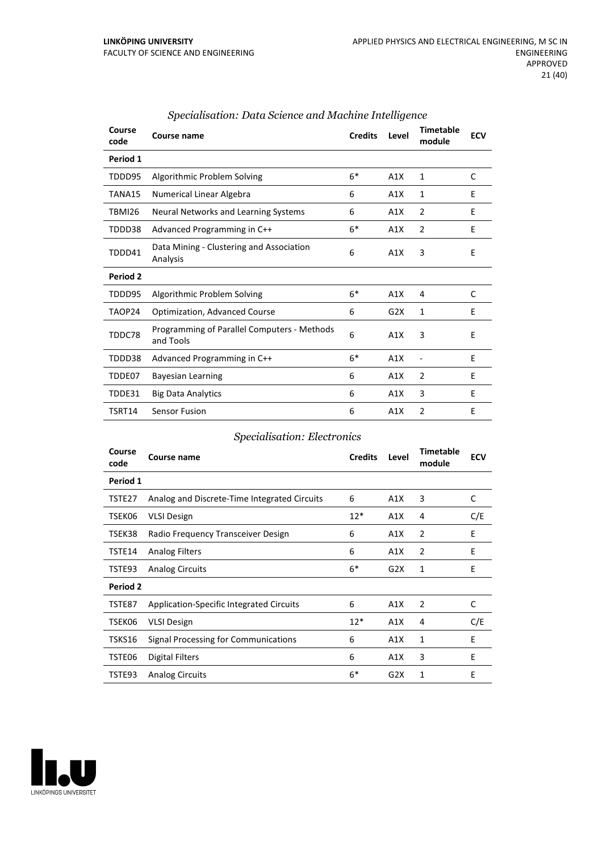| Course<br>code | <b>Course name</b>                                       | <b>Credits</b> | Level | <b>Timetable</b><br>module | <b>ECV</b> |
|----------------|----------------------------------------------------------|----------------|-------|----------------------------|------------|
| Period 1       |                                                          |                |       |                            |            |
| TDDD95         | Algorithmic Problem Solving                              | $6*$           | A1X   | 1                          | C          |
| TANA15         | Numerical Linear Algebra                                 | 6              | A1X   | 1                          | E          |
| <b>TBMI26</b>  | Neural Networks and Learning Systems                     | 6              | A1X   | $\overline{2}$             | E          |
| TDDD38         | Advanced Programming in C++                              | $6*$           | A1X   | 2                          | E          |
| TDDD41         | Data Mining - Clustering and Association<br>Analysis     | 6              | A1X   | 3                          | E          |
| Period 2       |                                                          |                |       |                            |            |
| TDDD95         | Algorithmic Problem Solving                              | $6*$           | A1X   | 4                          | C          |
| TAOP24         | <b>Optimization, Advanced Course</b>                     | 6              | G2X   | 1                          | E          |
| TDDC78         | Programming of Parallel Computers - Methods<br>and Tools | 6              | A1X   | 3                          | E          |
| TDDD38         | Advanced Programming in C++                              | $6*$           | A1X   | $\qquad \qquad -$          | E          |
| TDDE07         | <b>Bayesian Learning</b>                                 | 6              | A1X   | 2                          | E          |
| TDDE31         | <b>Big Data Analytics</b>                                | 6              | A1X   | 3                          | E          |
| TSRT14         | <b>Sensor Fusion</b>                                     | 6              | A1X   | $\overline{2}$             | Ε          |

#### *Specialisation: Data Science and Machine Intelligence*

#### *Specialisation: Electronics*

| Course<br>code | Course name                                  | <b>Credits</b> | Level | <b>Timetable</b><br>module | <b>ECV</b> |
|----------------|----------------------------------------------|----------------|-------|----------------------------|------------|
| Period 1       |                                              |                |       |                            |            |
| TSTE27         | Analog and Discrete-Time Integrated Circuits | 6              | A1X   | 3                          | C          |
| TSEK06         | <b>VLSI Design</b>                           | $12*$          | A1X   | 4                          | C/E        |
| TSEK38         | Radio Frequency Transceiver Design           | 6              | A1X   | $\overline{2}$             | E          |
| TSTE14         | <b>Analog Filters</b>                        | 6              | A1X   | $\overline{2}$             | E          |
| TSTE93         | <b>Analog Circuits</b>                       | $6*$           | G2X   | 1                          | E          |
| Period 2       |                                              |                |       |                            |            |
| TSTE87         | Application-Specific Integrated Circuits     | 6              | A1X   | 2                          | C          |
| TSEK06         | <b>VLSI Design</b>                           | $12*$          | A1X   | 4                          | C/E        |
| TSKS16         | Signal Processing for Communications         | 6              | A1X   | 1                          | E          |
| TSTE06         | <b>Digital Filters</b>                       | 6              | A1X   | 3                          | E          |
| TSTE93         | <b>Analog Circuits</b>                       | $6*$           | G2X   | 1                          | E          |

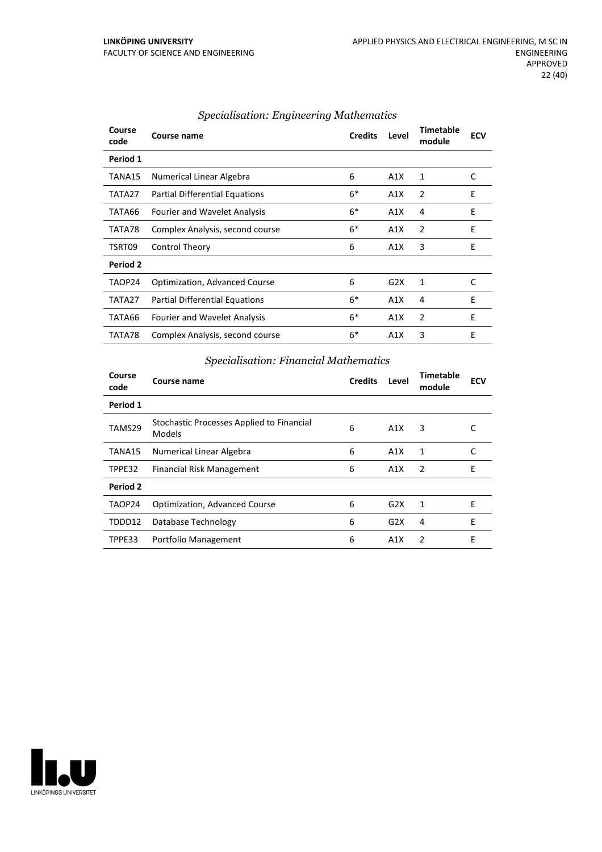| Course<br>code | Course name                          | <b>Credits</b> | Level | <b>Timetable</b><br>module | <b>ECV</b> |
|----------------|--------------------------------------|----------------|-------|----------------------------|------------|
| Period 1       |                                      |                |       |                            |            |
| TANA15         | Numerical Linear Algebra             | 6              | A1X   | 1                          | C          |
| TATA27         | Partial Differential Equations       | $6*$           | A1X   | 2                          | E          |
| TATA66         | <b>Fourier and Wavelet Analysis</b>  | $6*$           | A1X   | 4                          | E          |
| TATA78         | Complex Analysis, second course      | $6*$           | A1X   | 2                          | E          |
| TSRT09         | Control Theory                       | 6              | A1X   | 3                          | E          |
| Period 2       |                                      |                |       |                            |            |
| TAOP24         | <b>Optimization, Advanced Course</b> | 6              | G2X   | 1                          | C          |
| TATA27         | Partial Differential Equations       | $6*$           | A1X   | 4                          | E          |
| TATA66         | <b>Fourier and Wavelet Analysis</b>  | $6*$           | A1X   | $\overline{2}$             | E          |
| TATA78         | Complex Analysis, second course      | $6*$           | A1X   | 3                          | E          |

#### *Specialisation: Engineering Mathematics*

#### *Specialisation: Financial Mathematics*

| Course<br>code | Course name                                         | <b>Credits</b> | Level | Timetable<br>module | <b>ECV</b> |
|----------------|-----------------------------------------------------|----------------|-------|---------------------|------------|
| Period 1       |                                                     |                |       |                     |            |
| TAMS29         | Stochastic Processes Applied to Financial<br>Models | 6              | A1X   | 3                   |            |
| TANA15         | Numerical Linear Algebra                            | 6              | A1X   | 1                   | C          |
| TPPE32         | Financial Risk Management                           | 6              | A1X   | 2                   | E          |
| Period 2       |                                                     |                |       |                     |            |
| TAOP24         | <b>Optimization, Advanced Course</b>                | 6              | G2X   | 1                   | E          |
| TDDD12         | Database Technology                                 | 6              | G2X   | 4                   | E          |
| TPPE33         | Portfolio Management                                | 6              | A1X   | $\mathcal{P}$       | F          |

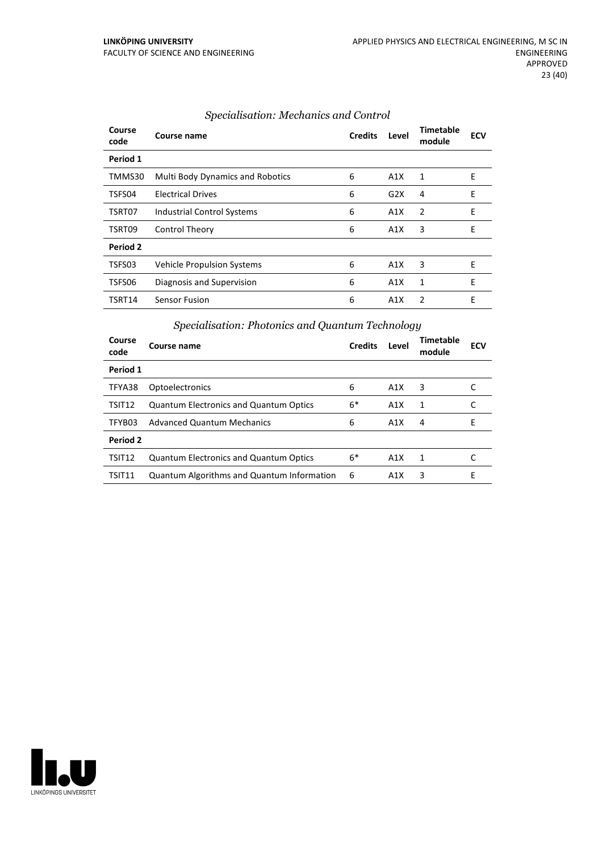| Course<br>code | Course name                             | <b>Credits</b> | Level | <b>Timetable</b><br>module | <b>ECV</b> |
|----------------|-----------------------------------------|----------------|-------|----------------------------|------------|
| Period 1       |                                         |                |       |                            |            |
| TMMS30         | <b>Multi Body Dynamics and Robotics</b> | 6              | A1X   | 1                          | E          |
| TSFS04         | <b>Electrical Drives</b>                | 6              | G2X   | 4                          | E          |
| TSRT07         | <b>Industrial Control Systems</b>       | 6              | A1X   | $\overline{2}$             | E          |
| TSRT09         | <b>Control Theory</b>                   | 6              | A1X   | 3                          | E          |
| Period 2       |                                         |                |       |                            |            |
| TSFS03         | <b>Vehicle Propulsion Systems</b>       | 6              | A1X   | 3                          | Ε          |
| TSFS06         | Diagnosis and Supervision               | 6              | A1X   | 1                          | E          |
| TSRT14         | Sensor Fusion                           | 6              | A1X   | $\mathcal{P}$              | E          |

#### *Specialisation: Mechanics and Control*

#### *Specialisation: Photonics and Quantum Technology*

| Course<br>code     | Course name                                       | <b>Credits</b> | Level            | Timetable<br>module | <b>ECV</b> |
|--------------------|---------------------------------------------------|----------------|------------------|---------------------|------------|
| Period 1           |                                                   |                |                  |                     |            |
| TFYA38             | Optoelectronics                                   | 6              | A1X              | 3                   |            |
| TSIT12             | <b>Quantum Electronics and Quantum Optics</b>     | $6*$           | A <sub>1</sub> X | 1                   |            |
| TFYB03             | <b>Advanced Quantum Mechanics</b>                 | 6              | A1X              | 4                   | F          |
| Period 2           |                                                   |                |                  |                     |            |
| TSIT <sub>12</sub> | <b>Quantum Electronics and Quantum Optics</b>     | $6*$           | A1X              | 1                   |            |
| TSIT11             | <b>Quantum Algorithms and Quantum Information</b> | 6              | A1X              | 3                   | F          |

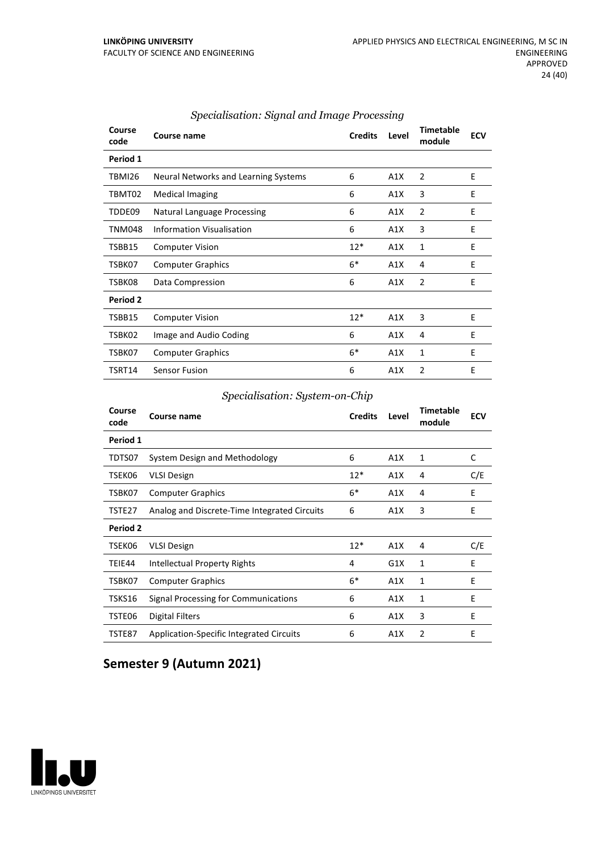| Course<br>code | <b>Course name</b>                   | <b>Credits</b> | Level | <b>Timetable</b><br>module | <b>ECV</b> |
|----------------|--------------------------------------|----------------|-------|----------------------------|------------|
| Period 1       |                                      |                |       |                            |            |
| TBMI26         | Neural Networks and Learning Systems | 6              | A1X   | $\overline{2}$             | E          |
| TBMT02         | <b>Medical Imaging</b>               | 6              | A1X   | 3                          | E          |
| TDDE09         | Natural Language Processing          | 6              | A1X   | 2                          | E          |
| <b>TNM048</b>  | Information Visualisation            | 6              | A1X   | 3                          | E          |
| TSBB15         | <b>Computer Vision</b>               | $12*$          | A1X   | 1                          | E          |
| TSBK07         | <b>Computer Graphics</b>             | $6*$           | A1X   | 4                          | E          |
| TSBK08         | Data Compression                     | 6              | A1X   | $\overline{2}$             | E          |
| Period 2       |                                      |                |       |                            |            |
| TSBB15         | <b>Computer Vision</b>               | $12*$          | A1X   | 3                          | E          |
| TSBK02         | Image and Audio Coding               | 6              | A1X   | 4                          | E          |
| TSBK07         | <b>Computer Graphics</b>             | $6*$           | A1X   | 1                          | E          |
| TSRT14         | <b>Sensor Fusion</b>                 | 6              | A1X   | $\overline{2}$             | E          |

#### *Specialisation: Signal and Image Processing*

#### *Specialisation: System-on-Chip*

| Course<br>code  | Course name                                  | <b>Credits</b> | Level | <b>Timetable</b><br>module | <b>ECV</b> |
|-----------------|----------------------------------------------|----------------|-------|----------------------------|------------|
| Period 1        |                                              |                |       |                            |            |
| TDTS07          | System Design and Methodology                | 6              | A1X   | 1                          | C          |
| TSEK06          | <b>VLSI Design</b>                           | $12*$          | A1X   | 4                          | C/E        |
| TSBK07          | <b>Computer Graphics</b>                     | $6*$           | A1X   | 4                          | Ε          |
| TSTE27          | Analog and Discrete-Time Integrated Circuits | 6              | A1X   | 3                          | E          |
| <b>Period 2</b> |                                              |                |       |                            |            |
| TSEK06          | <b>VLSI Design</b>                           | $12*$          | A1X   | $\overline{4}$             | C/E        |
| TEIE44          | Intellectual Property Rights                 | 4              | G1X   | 1                          | E          |
| TSBK07          | <b>Computer Graphics</b>                     | $6*$           | A1X   | 1                          | E          |
| TSKS16          | Signal Processing for Communications         | 6              | A1X   | 1                          | E          |
| TSTE06          | Digital Filters                              | 6              | A1X   | 3                          | E          |
| TSTE87          | Application-Specific Integrated Circuits     | 6              | A1X   | 2                          | E          |

# **Semester 9 (Autumn 2021)**

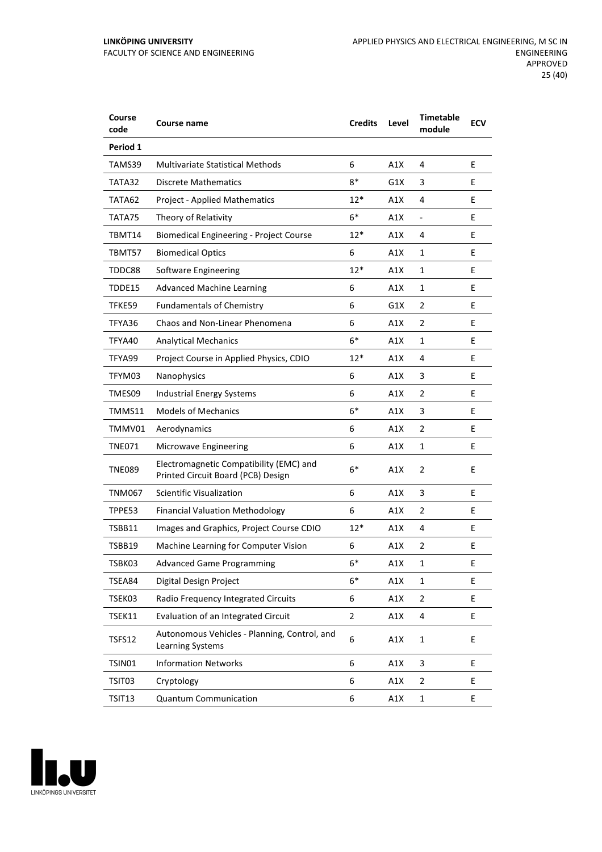| Course<br>code | Course name                                                                   | <b>Credits</b> | Level | <b>Timetable</b><br>module | <b>ECV</b> |
|----------------|-------------------------------------------------------------------------------|----------------|-------|----------------------------|------------|
| Period 1       |                                                                               |                |       |                            |            |
| TAMS39         | <b>Multivariate Statistical Methods</b>                                       | 6              | A1X   | 4                          | E          |
| TATA32         | <b>Discrete Mathematics</b>                                                   | 8*             | G1X   | 3                          | E          |
| TATA62         | <b>Project - Applied Mathematics</b>                                          | $12*$          | A1X   | 4                          | E          |
| TATA75         | Theory of Relativity                                                          | $6*$           | A1X   | $\overline{\phantom{0}}$   | E.         |
| TBMT14         | <b>Biomedical Engineering - Project Course</b>                                | $12*$          | A1X   | 4                          | E.         |
| TBMT57         | <b>Biomedical Optics</b>                                                      | 6              | A1X   | 1                          | E          |
| TDDC88         | Software Engineering                                                          | $12*$          | A1X   | 1                          | E.         |
| TDDE15         | <b>Advanced Machine Learning</b>                                              | 6              | A1X   | $\mathbf{1}$               | E.         |
| TFKE59         | <b>Fundamentals of Chemistry</b>                                              | 6              | G1X   | 2                          | E          |
| TFYA36         | Chaos and Non-Linear Phenomena                                                | 6              | A1X   | $\overline{2}$             | E          |
| TFYA40         | <b>Analytical Mechanics</b>                                                   | $6*$           | A1X   | 1                          | E          |
| TFYA99         | Project Course in Applied Physics, CDIO                                       | $12*$          | A1X   | 4                          | E          |
| TFYM03         | Nanophysics                                                                   | 6              | A1X   | 3                          | E          |
| TMES09         | <b>Industrial Energy Systems</b>                                              | 6              | A1X   | $\overline{2}$             | E.         |
| TMMS11         | <b>Models of Mechanics</b>                                                    | $6*$           | A1X   | 3                          | E.         |
| TMMV01         | Aerodynamics                                                                  | 6              | A1X   | 2                          | E          |
| TNE071         | Microwave Engineering                                                         | 6              | A1X   | 1                          | E          |
| TNE089         | Electromagnetic Compatibility (EMC) and<br>Printed Circuit Board (PCB) Design | $6*$           | A1X   | 2                          | E          |
| TNM067         | <b>Scientific Visualization</b>                                               | 6              | A1X   | 3                          | E          |
| TPPE53         | <b>Financial Valuation Methodology</b>                                        | 6              | A1X   | $\overline{2}$             | Е          |
| TSBB11         | Images and Graphics, Project Course CDIO                                      | $12*$          | A1X   | 4                          | E          |
| TSBB19         | Machine Learning for Computer Vision                                          | 6              | A1X   | $\overline{2}$             | E          |
| TSBK03         | <b>Advanced Game Programming</b>                                              | 6*             | A1X   | 1                          | Ε          |
| TSEA84         | Digital Design Project                                                        | $6*$           | A1X   | 1                          | E.         |
| TSEK03         | Radio Frequency Integrated Circuits                                           | 6              | A1X   | 2                          | E          |
| TSEK11         | Evaluation of an Integrated Circuit                                           | 2              | A1X   | 4                          | E          |
| <b>TSFS12</b>  | Autonomous Vehicles - Planning, Control, and<br>Learning Systems              | 6              | A1X   | $\mathbf{1}$               | E          |
| TSIN01         | <b>Information Networks</b>                                                   | 6              | A1X   | 3                          | E          |
| TSIT03         | Cryptology                                                                    | 6              | A1X   | 2                          | E          |
| TSIT13         | <b>Quantum Communication</b>                                                  | 6              | A1X   | $\mathbf 1$                | Ε          |

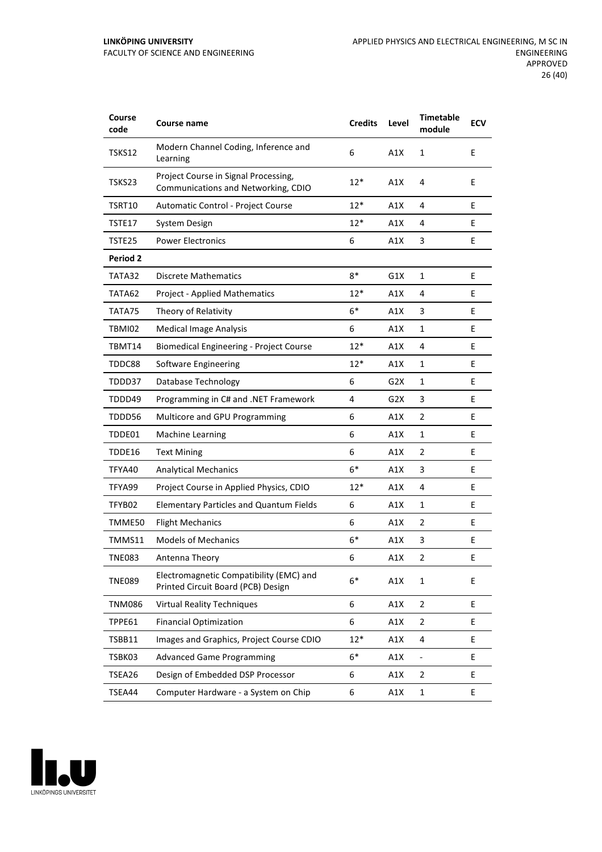| Course<br>code  | Course name                                                                   | <b>Credits</b> | Level | <b>Timetable</b><br>module | <b>ECV</b> |
|-----------------|-------------------------------------------------------------------------------|----------------|-------|----------------------------|------------|
| TSKS12          | Modern Channel Coding, Inference and<br>Learning                              | 6              | A1X   | $\mathbf{1}$               | E          |
| TSKS23          | Project Course in Signal Processing,<br>Communications and Networking, CDIO   | 12*            | A1X   | 4                          | E          |
| TSRT10          | Automatic Control - Project Course                                            | $12*$          | A1X   | 4                          | E          |
| TSTE17          | System Design                                                                 | $12*$          | A1X   | 4                          | E          |
| TSTE25          | <b>Power Electronics</b>                                                      | 6              | A1X   | 3                          | E          |
| <b>Period 2</b> |                                                                               |                |       |                            |            |
| TATA32          | <b>Discrete Mathematics</b>                                                   | $8*$           | G1X   | 1                          | E          |
| TATA62          | <b>Project - Applied Mathematics</b>                                          | $12*$          | A1X   | 4                          | E          |
| TATA75          | Theory of Relativity                                                          | $6*$           | A1X   | 3                          | E.         |
| TBMI02          | <b>Medical Image Analysis</b>                                                 | 6              | A1X   | $\mathbf{1}$               | E          |
| TBMT14          | <b>Biomedical Engineering - Project Course</b>                                | $12*$          | A1X   | 4                          | E          |
| TDDC88          | Software Engineering                                                          | 12*            | A1X   | 1                          | E          |
| TDDD37          | Database Technology                                                           | 6              | G2X   | 1                          | E          |
| TDDD49          | Programming in C# and .NET Framework                                          | 4              | G2X   | 3                          | E.         |
| TDDD56          | Multicore and GPU Programming                                                 | 6              | A1X   | 2                          | E          |
| TDDE01          | <b>Machine Learning</b>                                                       | 6              | A1X   | 1                          | E          |
| TDDE16          | <b>Text Mining</b>                                                            | 6              | A1X   | 2                          | E          |
| TFYA40          | <b>Analytical Mechanics</b>                                                   | $6*$           | A1X   | 3                          | E          |
| TFYA99          | Project Course in Applied Physics, CDIO                                       | $12*$          | A1X   | 4                          | E          |
| TFYB02          | <b>Elementary Particles and Quantum Fields</b>                                | 6              | A1X   | $\mathbf{1}$               | E          |
| TMME50          | <b>Flight Mechanics</b>                                                       | 6              | A1X   | 2                          | Ε          |
| TMMS11          | <b>Models of Mechanics</b>                                                    | $6*$           | A1X   | 3                          | E          |
| <b>TNE083</b>   | Antenna Theory                                                                | 6              | A1X   | $\overline{2}$             | E          |
| <b>TNE089</b>   | Electromagnetic Compatibility (EMC) and<br>Printed Circuit Board (PCB) Design | $6*$           | A1X   | 1                          | E          |
| <b>TNM086</b>   | <b>Virtual Reality Techniques</b>                                             | 6              | A1X   | $\overline{2}$             | E          |
| TPPE61          | <b>Financial Optimization</b>                                                 | 6              | A1X   | 2                          | E          |
| TSBB11          | Images and Graphics, Project Course CDIO                                      | $12*$          | A1X   | 4                          | E          |
| TSBK03          | <b>Advanced Game Programming</b>                                              | $6*$           | A1X   | ÷,                         | E          |
| TSEA26          | Design of Embedded DSP Processor                                              | 6              | A1X   | 2                          | E          |
| TSEA44          | Computer Hardware - a System on Chip                                          | 6              | A1X   | $\mathbf 1$                | E          |

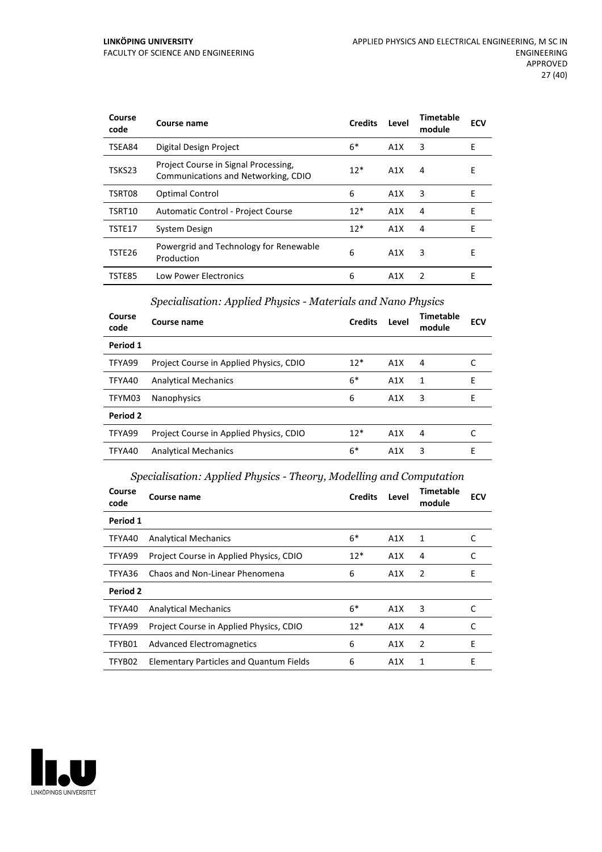| Course<br>code | Course name                                                                 | <b>Credits</b> | Level | Timetable<br>module | <b>ECV</b> |
|----------------|-----------------------------------------------------------------------------|----------------|-------|---------------------|------------|
| TSEA84         | Digital Design Project                                                      | 6*             | A1X   | 3                   | E          |
| TSKS23         | Project Course in Signal Processing,<br>Communications and Networking, CDIO | $12*$          | A1X   | 4                   | E          |
| TSRT08         | <b>Optimal Control</b>                                                      | 6              | A1X   | 3                   | E          |
| TSRT10         | Automatic Control - Project Course                                          | $12*$          | A1X   | 4                   | E          |
| TSTE17         | System Design                                                               | $12*$          | A1X   | 4                   | E          |
| TSTE26         | Powergrid and Technology for Renewable<br>Production                        | 6              | A1X   | 3                   | E          |
| TSTE85         | <b>Low Power Electronics</b>                                                | 6              | A1X   | $\mathcal{P}$       | F          |

#### *Specialisation: Applied Physics - Materials and Nano Physics*

| Course<br>code | Course name                             | <b>Credits</b> | Level            | <b>Timetable</b><br>module | <b>ECV</b> |
|----------------|-----------------------------------------|----------------|------------------|----------------------------|------------|
| Period 1       |                                         |                |                  |                            |            |
| TFYA99         | Project Course in Applied Physics, CDIO | $12*$          | A1X              | 4                          |            |
| TFYA40         | <b>Analytical Mechanics</b>             | $6*$           | A1X              | 1                          | E          |
| TFYM03         | <b>Nanophysics</b>                      | 6              | A1X              | 3                          | Е          |
| Period 2       |                                         |                |                  |                            |            |
| TFYA99         | Project Course in Applied Physics, CDIO | $12*$          | A1X              | 4                          |            |
| TFYA40         | <b>Analytical Mechanics</b>             | $6*$           | A <sub>1</sub> X | 3                          | E          |

#### *Specialisation: Applied Physics - Theory, Modelling and Computation*

| Course<br>code | Course name                                    | <b>Credits</b> | Level | <b>Timetable</b><br>module | <b>ECV</b> |
|----------------|------------------------------------------------|----------------|-------|----------------------------|------------|
| Period 1       |                                                |                |       |                            |            |
| TFYA40         | <b>Analytical Mechanics</b>                    | $6*$           | A1X   | 1                          | C          |
| TFYA99         | Project Course in Applied Physics, CDIO        | $12*$          | A1X   | 4                          | C          |
| TFYA36         | Chaos and Non-Linear Phenomena                 | 6              | A1X   | 2                          | E          |
| Period 2       |                                                |                |       |                            |            |
| TFYA40         | <b>Analytical Mechanics</b>                    | $6*$           | A1X   | 3                          |            |
| TFYA99         | Project Course in Applied Physics, CDIO        | $12*$          | A1X   | 4                          |            |
| TFYB01         | <b>Advanced Electromagnetics</b>               | 6              | A1X   | 2                          | Е          |
| TFYB02         | <b>Elementary Particles and Quantum Fields</b> | 6              | A1X   | 1                          | E          |

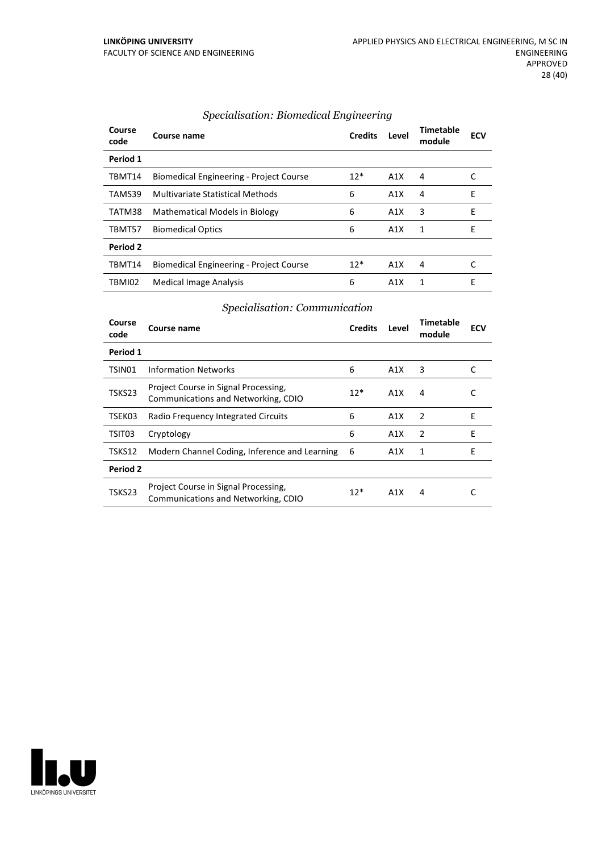| Course<br>code | Course name                                    | <b>Credits</b> | Level            | Timetable<br>module | <b>ECV</b> |
|----------------|------------------------------------------------|----------------|------------------|---------------------|------------|
| Period 1       |                                                |                |                  |                     |            |
| TBMT14         | <b>Biomedical Engineering - Project Course</b> | $12*$          | A1X              | 4                   |            |
| TAMS39         | Multivariate Statistical Methods               | 6              | A1X              | 4                   | E          |
| TATM38         | <b>Mathematical Models in Biology</b>          | 6              | A1X              | 3                   | E          |
| TBMT57         | <b>Biomedical Optics</b>                       | 6              | A1X              | 1                   | E          |
| Period 2       |                                                |                |                  |                     |            |
| TBMT14         | <b>Biomedical Engineering - Project Course</b> | $12*$          | A1X              | 4                   |            |
| TBMI02         | <b>Medical Image Analysis</b>                  | 6              | A <sub>1</sub> X | 1                   | F          |

#### *Specialisation: Biomedical Engineering*

#### *Specialisation: Communication*

| Course<br>code | Course name                                                                 | <b>Credits</b> | Level | <b>Timetable</b><br>module | ECV |
|----------------|-----------------------------------------------------------------------------|----------------|-------|----------------------------|-----|
| Period 1       |                                                                             |                |       |                            |     |
| TSIN01         | <b>Information Networks</b>                                                 | 6              | A1X   | 3                          |     |
| TSKS23         | Project Course in Signal Processing,<br>Communications and Networking, CDIO | $12*$          | A1X   | 4                          | C   |
| TSEK03         | Radio Frequency Integrated Circuits                                         | 6              | A1X   | 2                          | E   |
| TSIT03         | Cryptology                                                                  | 6              | A1X   | 2                          | E   |
| TSKS12         | Modern Channel Coding, Inference and Learning                               | 6              | A1X   | 1                          | E   |
| Period 2       |                                                                             |                |       |                            |     |
| TSKS23         | Project Course in Signal Processing,<br>Communications and Networking, CDIO | $12*$          | A1X   | 4                          |     |

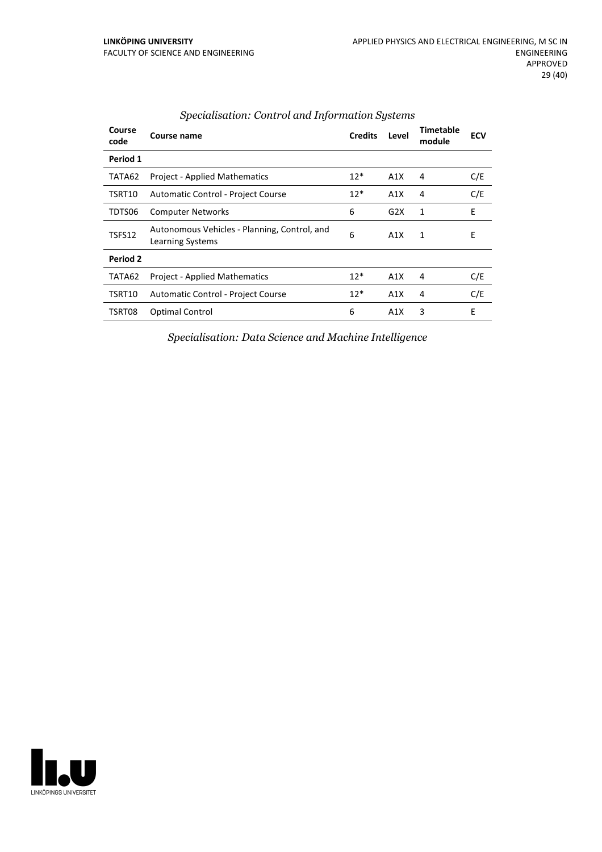| Course<br>code | Course name                                                      | <b>Credits</b> | Level | <b>Timetable</b><br>module | <b>ECV</b> |
|----------------|------------------------------------------------------------------|----------------|-------|----------------------------|------------|
| Period 1       |                                                                  |                |       |                            |            |
| TATA62         | <b>Project - Applied Mathematics</b>                             | $12*$          | A1X   | 4                          | C/E        |
| TSRT10         | Automatic Control - Project Course                               | $12*$          | A1X   | 4                          | C/E        |
| TDTS06         | <b>Computer Networks</b>                                         | 6              | G2X   | 1                          | E          |
| TSFS12         | Autonomous Vehicles - Planning, Control, and<br>Learning Systems | 6              | A1X   | 1                          | E          |
| Period 2       |                                                                  |                |       |                            |            |
| TATA62         | <b>Project - Applied Mathematics</b>                             | $12*$          | A1X   | 4                          | C/E        |
| TSRT10         | Automatic Control - Project Course                               | $12*$          | A1X   | 4                          | C/E        |
| TSRT08         | <b>Optimal Control</b>                                           | 6              | A1X   | 3                          | E          |
|                |                                                                  |                |       |                            |            |

#### *Specialisation: Control and Information Systems*

*Specialisation: Data Science and Machine Intelligence*

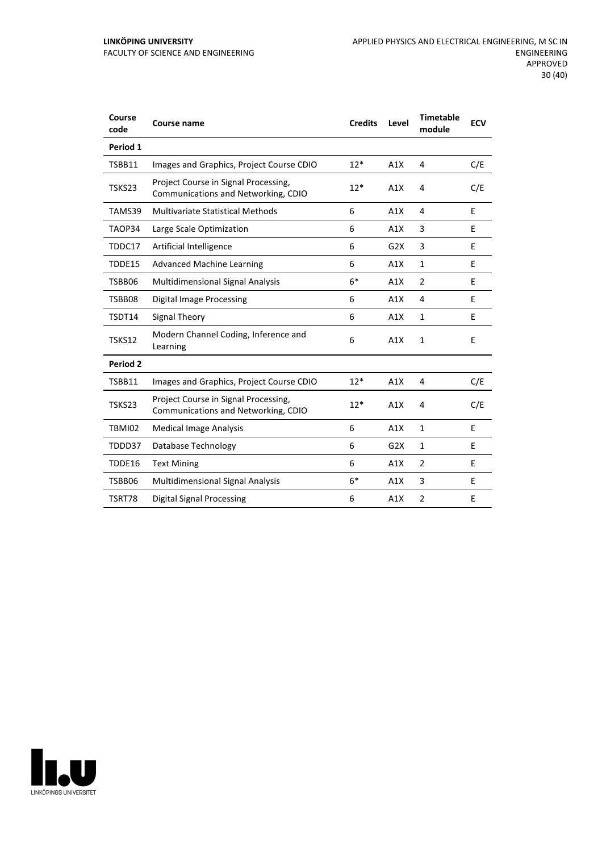| Course<br>code | Course name                                                                 | <b>Credits</b> | Level | <b>Timetable</b><br>module | <b>ECV</b> |
|----------------|-----------------------------------------------------------------------------|----------------|-------|----------------------------|------------|
| Period 1       |                                                                             |                |       |                            |            |
| TSBB11         | Images and Graphics, Project Course CDIO                                    | $12*$          | A1X   | 4                          | C/E        |
| TSKS23         | Project Course in Signal Processing,<br>Communications and Networking, CDIO | $12*$          | A1X   | 4                          | C/E        |
| TAMS39         | Multivariate Statistical Methods                                            | 6              | A1X   | 4                          | E          |
| TAOP34         | Large Scale Optimization                                                    | 6              | A1X   | 3                          | E          |
| TDDC17         | Artificial Intelligence                                                     | 6              | G2X   | 3                          | E          |
| TDDE15         | <b>Advanced Machine Learning</b>                                            | 6              | A1X   | $\mathbf{1}$               | E          |
| TSBB06         | <b>Multidimensional Signal Analysis</b>                                     | $6*$           | A1X   | $\overline{2}$             | E          |
| TSBB08         | <b>Digital Image Processing</b>                                             | 6              | A1X   | 4                          | E          |
| TSDT14         | <b>Signal Theory</b>                                                        | 6              | A1X   | $\mathbf{1}$               | F          |
| TSKS12         | Modern Channel Coding, Inference and<br>Learning                            | 6              | A1X   | $\mathbf{1}$               | E          |
| Period 2       |                                                                             |                |       |                            |            |
| TSBB11         | Images and Graphics, Project Course CDIO                                    | $12*$          | A1X   | 4                          | C/E        |
| TSKS23         | Project Course in Signal Processing,<br>Communications and Networking, CDIO | $12*$          | A1X   | 4                          | C/E        |
| <b>TBMI02</b>  | <b>Medical Image Analysis</b>                                               | 6              | A1X   | $\mathbf{1}$               | E          |
| TDDD37         | Database Technology                                                         | 6              | G2X   | $\mathbf{1}$               | E          |
| TDDE16         | <b>Text Mining</b>                                                          | 6              | A1X   | $\overline{2}$             | E          |
| TSBB06         | <b>Multidimensional Signal Analysis</b>                                     | $6*$           | A1X   | 3                          | E          |
| TSRT78         | Digital Signal Processing                                                   | 6              | A1X   | $\overline{2}$             | E          |

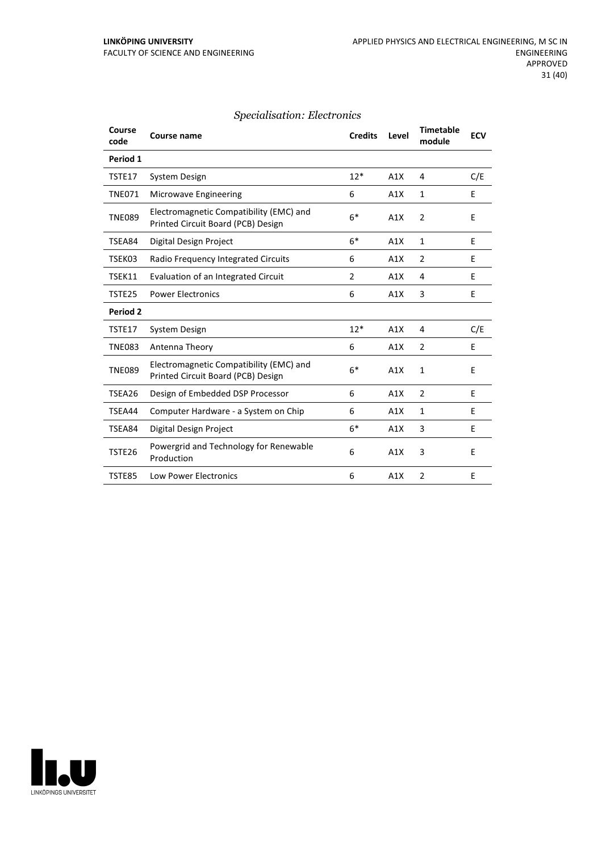#### *Specialisation: Electronics*

| Course<br>code | <b>Course name</b>                                                            | <b>Credits</b> | Level | <b>Timetable</b><br>module | <b>ECV</b> |
|----------------|-------------------------------------------------------------------------------|----------------|-------|----------------------------|------------|
| Period 1       |                                                                               |                |       |                            |            |
| TSTE17         | System Design                                                                 | $12*$          | A1X   | 4                          | C/E        |
| <b>TNE071</b>  | Microwave Engineering                                                         | 6              | A1X   | $\mathbf{1}$               | E          |
| <b>TNE089</b>  | Electromagnetic Compatibility (EMC) and<br>Printed Circuit Board (PCB) Design | $6*$           | A1X   | $\overline{2}$             | E          |
| TSEA84         | Digital Design Project                                                        | $6*$           | A1X   | $\mathbf{1}$               | E          |
| TSEK03         | Radio Frequency Integrated Circuits                                           | 6              | A1X   | $\overline{2}$             | E          |
| TSEK11         | Evaluation of an Integrated Circuit                                           | $\overline{2}$ | A1X   | 4                          | E          |
| TSTE25         | <b>Power Electronics</b>                                                      | 6              | A1X   | 3                          | E          |
| Period 2       |                                                                               |                |       |                            |            |
| TSTE17         | System Design                                                                 | $12*$          | A1X   | 4                          | C/E        |
| <b>TNE083</b>  | Antenna Theory                                                                | 6              | A1X   | $\overline{2}$             | E          |
| <b>TNE089</b>  | Electromagnetic Compatibility (EMC) and<br>Printed Circuit Board (PCB) Design | $6*$           | A1X   | 1                          | E          |
| TSEA26         | Design of Embedded DSP Processor                                              | 6              | A1X   | $\overline{2}$             | E          |
| TSEA44         | Computer Hardware - a System on Chip                                          | 6              | A1X   | 1                          | E          |
| TSEA84         | Digital Design Project                                                        | $6*$           | A1X   | 3                          | E          |
| TSTE26         | Powergrid and Technology for Renewable<br>Production                          | 6              | A1X   | 3                          | E          |
| TSTE85         | <b>Low Power Electronics</b>                                                  | 6              | A1X   | $\overline{2}$             | E          |

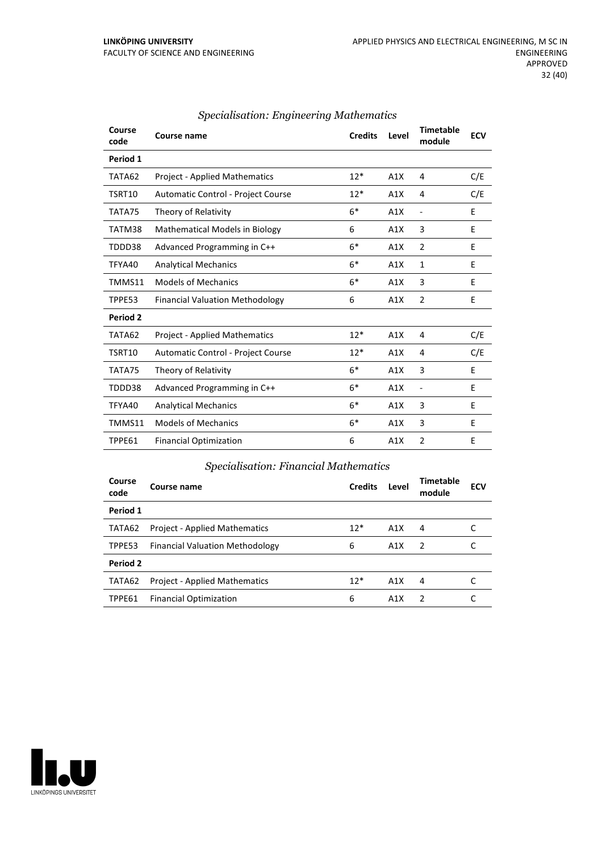| Course<br>code | Course name                            | <b>Credits</b> | Level | <b>Timetable</b><br>module | <b>ECV</b> |
|----------------|----------------------------------------|----------------|-------|----------------------------|------------|
| Period 1       |                                        |                |       |                            |            |
| TATA62         | <b>Project - Applied Mathematics</b>   | $12*$          | A1X   | 4                          | C/E        |
| TSRT10         | Automatic Control - Project Course     | $12*$          | A1X   | 4                          | C/E        |
| TATA75         | Theory of Relativity                   | $6*$           | A1X   | $\frac{1}{2}$              | E          |
| TATM38         | <b>Mathematical Models in Biology</b>  | 6              | A1X   | 3                          | E          |
| TDDD38         | Advanced Programming in C++            | $6*$           | A1X   | $\overline{2}$             | E          |
| TFYA40         | <b>Analytical Mechanics</b>            | $6*$           | A1X   | 1                          | E          |
| TMMS11         | <b>Models of Mechanics</b>             | $6*$           | A1X   | 3                          | E          |
| TPPE53         | <b>Financial Valuation Methodology</b> | 6              | A1X   | $\overline{2}$             | E          |
| Period 2       |                                        |                |       |                            |            |
| TATA62         | <b>Project - Applied Mathematics</b>   | $12*$          | A1X   | 4                          | C/E        |
| TSRT10         | Automatic Control - Project Course     | $12*$          | A1X   | 4                          | C/E        |
| TATA75         | Theory of Relativity                   | $6*$           | A1X   | 3                          | E          |
| TDDD38         | Advanced Programming in C++            | $6*$           | A1X   | $\overline{\phantom{a}}$   | E          |
| TFYA40         | <b>Analytical Mechanics</b>            | $6*$           | A1X   | 3                          | E          |
| TMMS11         | <b>Models of Mechanics</b>             | $6*$           | A1X   | 3                          | E          |
| TPPE61         | <b>Financial Optimization</b>          | 6              | A1X   | $\overline{2}$             | E          |

#### *Specialisation: Engineering Mathematics*

#### *Specialisation: Financial Mathematics*

| Course<br>code | Course name                            | <b>Credits</b> | Level | Timetable<br>module | <b>ECV</b> |
|----------------|----------------------------------------|----------------|-------|---------------------|------------|
| Period 1       |                                        |                |       |                     |            |
| TATA62         | <b>Project - Applied Mathematics</b>   | $12*$          | A1X   | 4                   |            |
| TPPE53         | <b>Financial Valuation Methodology</b> | 6              | A1X   | $\overline{2}$      |            |
| Period 2       |                                        |                |       |                     |            |
| TATA62         | <b>Project - Applied Mathematics</b>   | $12*$          | A1X   | 4                   |            |
| TPPE61         | <b>Financial Optimization</b>          | 6              | A1X   | $\mathcal{P}$       |            |

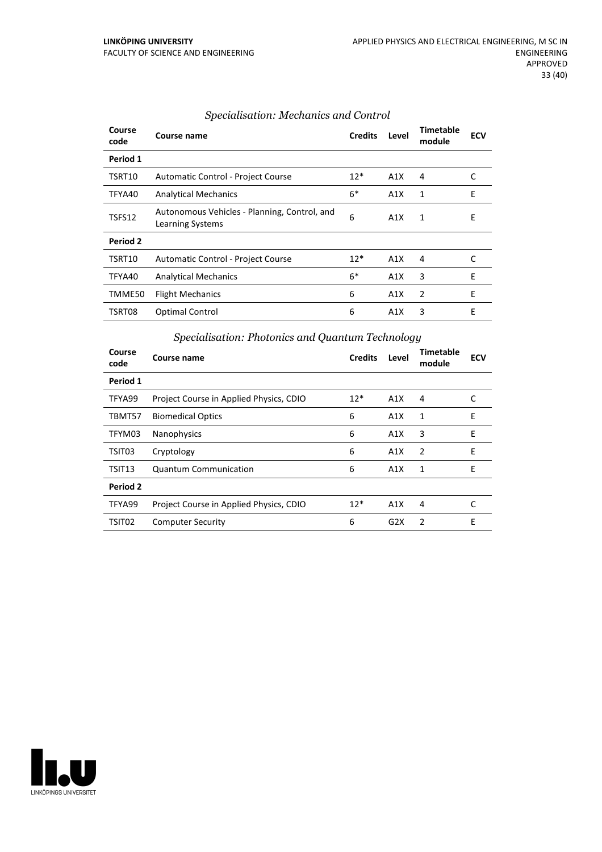| Course<br>code | Course name                                                             | <b>Credits</b> | Level | <b>Timetable</b><br>module | <b>ECV</b> |
|----------------|-------------------------------------------------------------------------|----------------|-------|----------------------------|------------|
| Period 1       |                                                                         |                |       |                            |            |
| TSRT10         | Automatic Control - Project Course                                      | $12*$          | A1X   | 4                          | C          |
| TFYA40         | <b>Analytical Mechanics</b>                                             | $6*$           | A1X   | 1                          | E          |
| TSFS12         | Autonomous Vehicles - Planning, Control, and<br><b>Learning Systems</b> | 6              | A1X   | 1                          | E          |
| Period 2       |                                                                         |                |       |                            |            |
| TSRT10         | Automatic Control - Project Course                                      | $12*$          | A1X   | 4                          | C          |
| TFYA40         | <b>Analytical Mechanics</b>                                             | $6*$           | A1X   | 3                          | E          |
| TMME50         | <b>Flight Mechanics</b>                                                 | 6              | A1X   | 2                          | E          |
| TSRT08         | Optimal Control                                                         | 6              | A1X   | 3                          | E          |

#### *Specialisation: Mechanics and Control*

# *Specialisation: Photonics and Quantum Technology*

| Course<br>code | Course name                             | <b>Credits</b> | Level | Timetable<br>module | <b>ECV</b> |
|----------------|-----------------------------------------|----------------|-------|---------------------|------------|
| Period 1       |                                         |                |       |                     |            |
| TFYA99         | Project Course in Applied Physics, CDIO | $12*$          | A1X   | 4                   | C          |
| TBMT57         | <b>Biomedical Optics</b>                | 6              | A1X   | 1                   | E          |
| TFYM03         | Nanophysics                             | 6              | A1X   | 3                   | E          |
| TSIT03         | Cryptology                              | 6              | A1X   | 2                   | E          |
| TSIT13         | <b>Quantum Communication</b>            | 6              | A1X   | 1                   | E          |
| Period 2       |                                         |                |       |                     |            |
| TFYA99         | Project Course in Applied Physics, CDIO | $12*$          | A1X   | 4                   | C          |
| TSIT02         | <b>Computer Security</b>                | 6              | G2X   | $\overline{2}$      | E          |

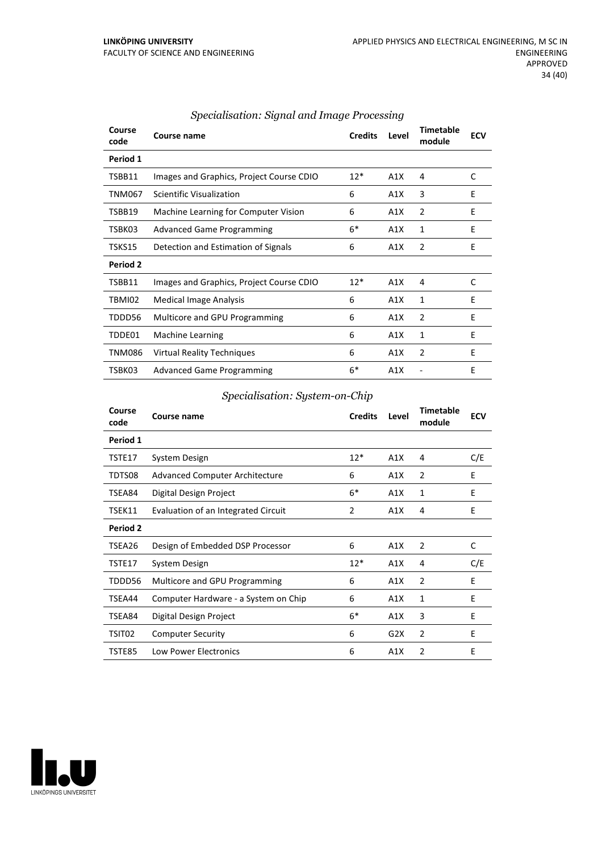| Course<br>code | Course name                              | <b>Credits</b> | Level | <b>Timetable</b><br>module | <b>ECV</b> |
|----------------|------------------------------------------|----------------|-------|----------------------------|------------|
| Period 1       |                                          |                |       |                            |            |
| TSBB11         | Images and Graphics, Project Course CDIO | $12*$          | A1X   | 4                          | C          |
| <b>TNM067</b>  | Scientific Visualization                 | 6              | A1X   | 3                          | E          |
| TSBB19         | Machine Learning for Computer Vision     | 6              | A1X   | $\overline{2}$             | Ε          |
| TSBK03         | <b>Advanced Game Programming</b>         | $6*$           | A1X   | 1                          | F          |
| TSKS15         | Detection and Estimation of Signals      | 6              | A1X   | $\overline{2}$             | E          |
| Period 2       |                                          |                |       |                            |            |
| TSBB11         | Images and Graphics, Project Course CDIO | $12*$          | A1X   | 4                          | C          |
| TBMI02         | <b>Medical Image Analysis</b>            | 6              | A1X   | 1                          | E          |
| TDDD56         | Multicore and GPU Programming            | 6              | A1X   | 2                          | E          |
| TDDE01         | <b>Machine Learning</b>                  | 6              | A1X   | 1                          | E          |
| <b>TNM086</b>  | Virtual Reality Techniques               | 6              | A1X   | $\overline{2}$             | E          |
| TSBK03         | <b>Advanced Game Programming</b>         | $6*$           | A1X   |                            | E          |

#### *Specialisation: Signal and Image Processing*

#### *Specialisation: System-on-Chip*

| Course<br>code | Course name                           | <b>Credits</b> | Level | <b>Timetable</b><br>module | <b>ECV</b> |
|----------------|---------------------------------------|----------------|-------|----------------------------|------------|
| Period 1       |                                       |                |       |                            |            |
| TSTE17         | System Design                         | $12*$          | A1X   | 4                          | C/E        |
| TDTS08         | <b>Advanced Computer Architecture</b> | 6              | A1X   | $\overline{2}$             | E          |
| TSEA84         | Digital Design Project                | $6*$           | A1X   | $\mathbf{1}$               | E          |
| TSEK11         | Evaluation of an Integrated Circuit   | 2              | A1X   | 4                          | E          |
| Period 2       |                                       |                |       |                            |            |
| TSEA26         | Design of Embedded DSP Processor      | 6              | A1X   | $\overline{2}$             | C          |
| TSTE17         | System Design                         | $12*$          | A1X   | 4                          | C/E        |
| TDDD56         | Multicore and GPU Programming         | 6              | A1X   | 2                          | E          |
| TSEA44         | Computer Hardware - a System on Chip  | 6              | A1X   | $\mathbf{1}$               | E          |
| TSEA84         | Digital Design Project                | $6*$           | A1X   | 3                          | E          |
| TSIT02         | <b>Computer Security</b>              | 6              | G2X   | $\overline{2}$             | E          |
| TSTE85         | <b>Low Power Electronics</b>          | 6              | A1X   | $\overline{2}$             | E          |

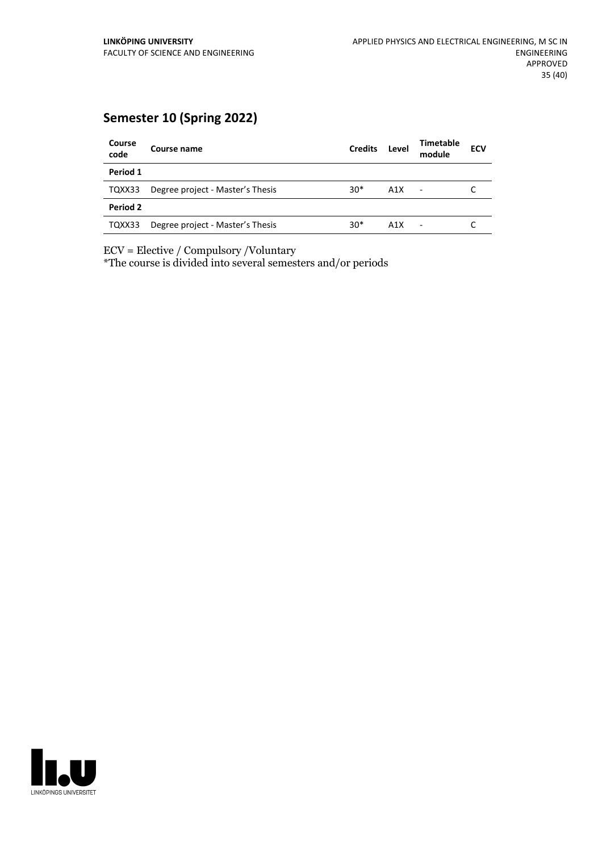# **Semester 10 (Spring 2022)**

| Course<br>code | Course name                      | <b>Credits</b> | Level | <b>Timetable</b><br>module | <b>ECV</b> |
|----------------|----------------------------------|----------------|-------|----------------------------|------------|
| Period 1       |                                  |                |       |                            |            |
| TQXX33         | Degree project - Master's Thesis | $30*$          | A1X   | $\overline{\phantom{a}}$   |            |
| Period 2       |                                  |                |       |                            |            |
| TQXX33         | Degree project - Master's Thesis | $30*$          | A1X   | ٠                          |            |

ECV = Elective / Compulsory /Voluntary

\*The course is divided into several semesters and/or periods

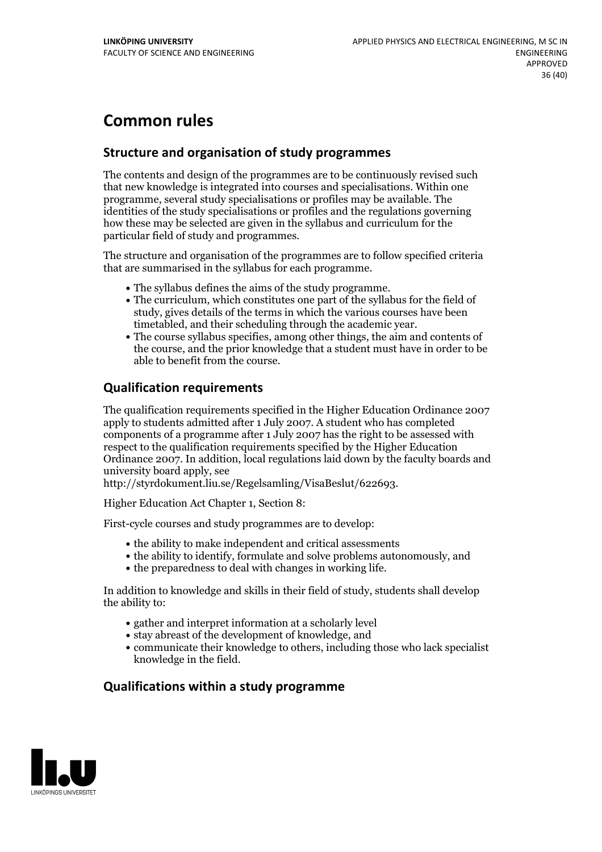# **Common rules**

#### **Structure and organisation of study programmes**

The contents and design of the programmes are to be continuously revised such that new knowledge is integrated into courses and specialisations. Within one programme, several study specialisations or profiles may be available. The identities of the study specialisations or profiles and the regulations governing how these may be selected are given in the syllabus and curriculum for the particular field of study and programmes.

The structure and organisation of the programmes are to follow specified criteria that are summarised in the syllabus for each programme.

- 
- The syllabus defines the aims of the study programme.<br>• The curriculum, which constitutes one part of the syllabus for the field of study, gives details of the terms in which the various courses have been
- timetabled, and their scheduling through the academic year.<br>• The course syllabus specifies, among other things, the aim and contents of the course, and the prior knowledge that a student must have in order to be able to benefit from the course.

#### **Qualification requirements**

The qualification requirements specified in the Higher Education Ordinance 2007 apply to students admitted after 1 July 2007. A student who has completed components of a programme after 1 July 2007 has the right to be assessed with respect to the qualification requirements specified by the Higher Education Ordinance 2007. In addition, local regulations laid down by the faculty boards and university board apply, see

http://styrdokument.liu.se/Regelsamling/VisaBeslut/622693.

Higher Education Act Chapter 1, Section 8:

First-cycle courses and study programmes are to develop:

- the ability to make independent and critical assessments
- the ability to identify, formulate and solve problems autonomously, and
- the preparedness to deal with changes in working life.

In addition to knowledge and skills in their field of study, students shall develop the ability to:

- gather and interpret information at a scholarly level
- stay abreast of the development of knowledge, and
- communicate their knowledge to others, including those who lack specialist knowledge in the field.

#### **Qualifications within a study programme**

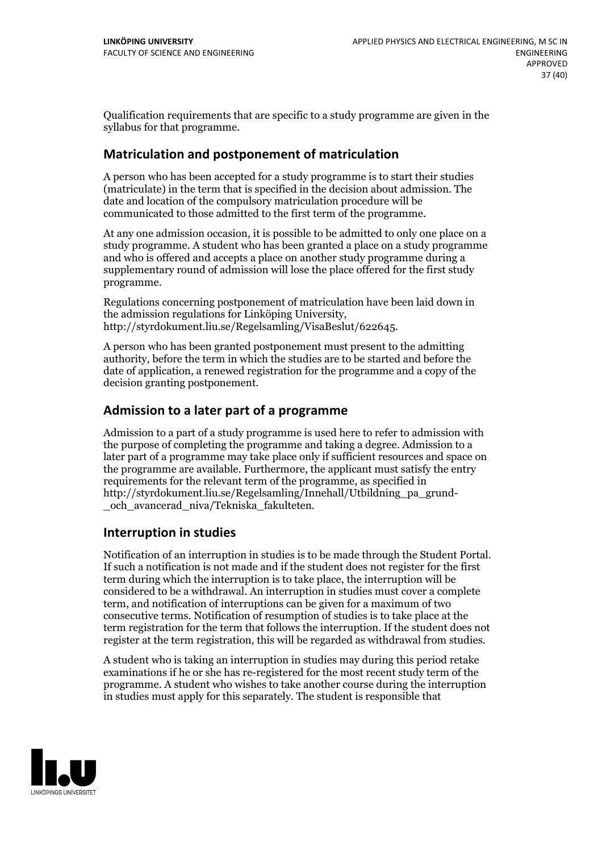Qualification requirements that are specific to a study programme are given in the syllabus for that programme.

#### **Matriculation and postponement of matriculation**

A person who has been accepted for a study programme is to start their studies (matriculate) in the term that is specified in the decision about admission. The date and location of the compulsory matriculation procedure will be communicated to those admitted to the first term of the programme.

At any one admission occasion, it is possible to be admitted to only one place on a study programme. A student who has been granted a place on a study programme and who is offered and accepts a place on another study programme during a supplementary round of admission will lose the place offered for the first study programme.

Regulations concerning postponement of matriculation have been laid down in the admission regulations for Linköping University, http://styrdokument.liu.se/Regelsamling/VisaBeslut/622645.

A person who has been granted postponement must present to the admitting authority, before the term in which the studies are to be started and before the date of application, a renewed registration for the programme and a copy of the decision granting postponement.

#### **Admission to a later part of a programme**

Admission to a part of a study programme is used here to refer to admission with the purpose of completing the programme and taking a degree. Admission to a later part of a programme may take place only if sufficient resources and space on the programme are available. Furthermore, the applicant must satisfy the entry requirements for the relevant term of the programme, as specified in http://styrdokument.liu.se/Regelsamling/Innehall/Utbildning\_pa\_grund- \_och\_avancerad\_niva/Tekniska\_fakulteten.

#### **Interruption in studies**

Notification of an interruption in studies is to be made through the Student Portal. If such <sup>a</sup> notification is not made and if the student does not register for the first term during which the interruption is to take place, the interruption will be considered to be a withdrawal. An interruption in studies must cover a complete term, and notification of interruptions can be given for a maximum of two consecutive terms. Notification of resumption of studies is to take place at the term registration for the term that follows the interruption. If the student does not register at the term registration, this will be regarded as withdrawal from studies.

A student who is taking an interruption in studies may during this period retake examinations if he or she has re-registered for the most recent study term of the programme. A student who wishes to take another course during the interruption in studies must apply for this separately. The student is responsible that

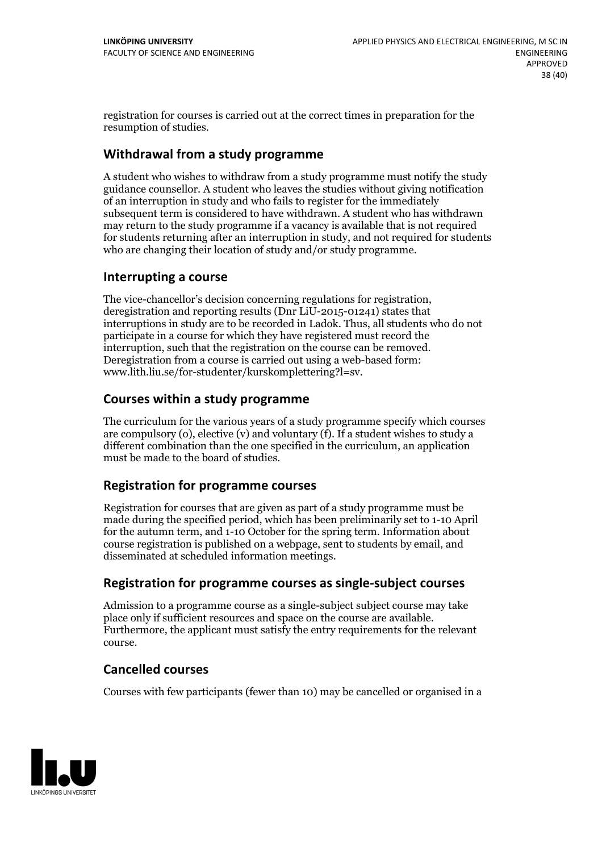registration for courses is carried outat the correct times in preparation for the resumption of studies.

#### **Withdrawal from a study programme**

A student who wishes to withdraw from a study programme must notify the study guidance counsellor. A student who leaves the studies without giving notification of an interruption in study and who fails to register for the immediately subsequent term is considered to have withdrawn. A student who has withdrawn may return to the study programme if a vacancy is available that is not required for students returning after an interruption in study, and notrequired for students who are changing their location of study and/or study programme.

#### **Interrupting a course**

The vice-chancellor's decision concerning regulations for registration, deregistration and reporting results (Dnr LiU-2015-01241) states that interruptions in study are to be recorded in Ladok. Thus, all students who do not participate in a course for which they have registered must record the interruption, such that the registration on the course can be removed. Deregistration from <sup>a</sup> course is carried outusing <sup>a</sup> web-based form: www.lith.liu.se/for-studenter/kurskomplettering?l=sv.

#### **Courses within a study programme**

The curriculum for the various years of a study programme specify which courses are compulsory (o), elective (v) and voluntary (f). If a student wishes to study a different combination than the one specified in the curriculum, an application must be made to the board of studies.

#### **Registration for programme courses**

Registration for courses that are given as part of a study programme must be made during the specified period, which has been preliminarily set to 1-10 April for the autumn term, and 1-10 October for the spring term. Information about course registration is published on a webpage, sent to students by email, and disseminated at scheduled information meetings.

#### **Registration for programme courses as single-subject courses**

Admission to a programme course as a single-subject subject course may take place only if sufficient resources and space on the course are available. Furthermore, the applicant must satisfy the entry requirements for the relevant course.

#### **Cancelled courses**

Courses with few participants (fewer than 10) may be cancelled or organised in a

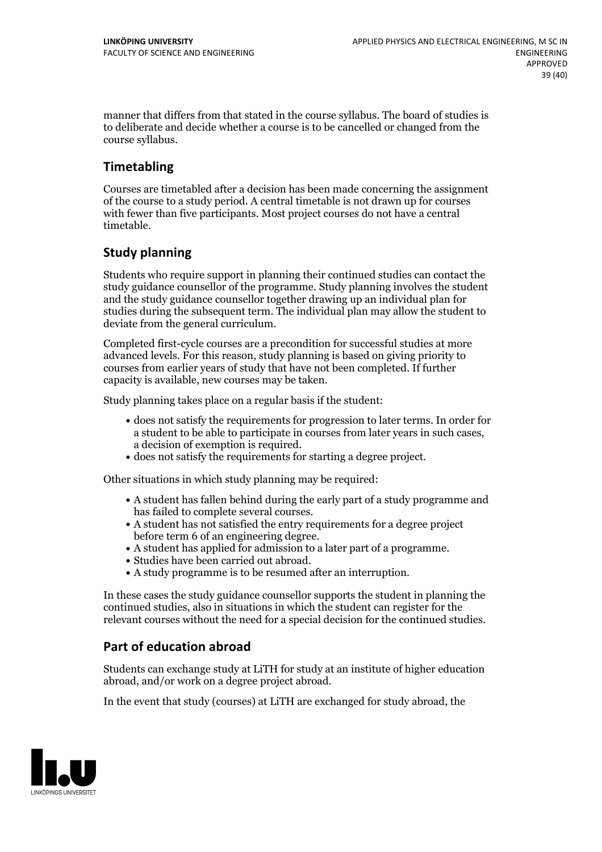manner that differs from that stated in the course syllabus. The board of studies is to deliberate and decide whether a course is to be cancelled orchanged from the course syllabus.

### **Timetabling**

Courses are timetabled after a decision has been made concerning the assignment of the course to a study period. A central timetable is not drawn up for courses with fewer than five participants. Most project courses do not have a central timetable.

### **Study planning**

Students who require support in planning their continued studies can contact the study guidance counsellor of the programme. Study planning involves the student and the study guidance counsellor together drawing up an individual plan for studies during the subsequent term. The individual plan may allow the student to deviate from the general curriculum.

Completed first-cycle courses are a precondition for successful studies at more advanced levels. For this reason, study planning is based on giving priority to courses from earlier years of study that have not been completed. If further capacity is available, new courses may be taken.

Study planning takes place on a regular basis if the student:

- does not satisfy the requirements for progression to later terms. In order for a student to be able to participate in courses from later years in such cases, a decision of exemption is required.<br>
• does not satisfy the requirements for starting a degree project.
- 

Other situations in which study planning may be required:

- A student has fallen behind during the early part of a study programme and
- has failed to complete several courses.<br>• A student has not satisfied the entry requirements for a degree project
- before term 6 of an engineering degree.<br>
 A student has applied for admission to a later part of a programme.<br>
 Studies have been carried out abroad.<br>
 A study programme is to be resumed after an interruption.
- 
- 

In these cases the study guidance counsellor supports the student in planning the continued studies, also in situations in which the student can register for the relevant courses without the need for a special decision for the continued studies.

### **Part of education abroad**

Students can exchange study at LiTH for study at an institute of higher education abroad, and/or work on a degree project abroad.

In the event that study (courses) at LiTH are exchanged for study abroad, the